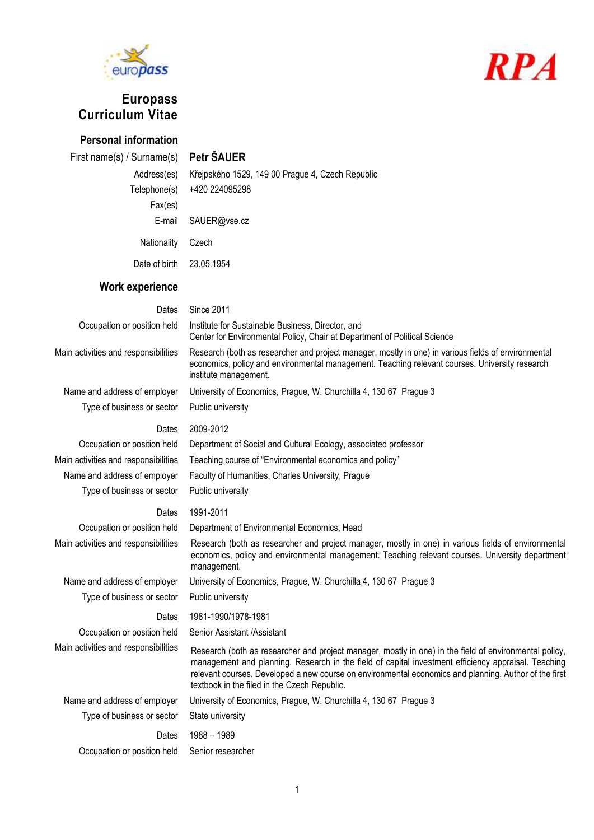



# **Europass Curriculum Vitae**

**Personal information**

## First name(s) / Surname(s) **Petr ŠAUER**

| Address(es)              | Křejpského 1529, 149 00 Prague 4, Czech Republic |
|--------------------------|--------------------------------------------------|
| Telephone(s)             | +420 224095298                                   |
| Fax(es)                  |                                                  |
|                          | E-mail SAUER@vse.cz                              |
| Nationality              | Czech                                            |
| Date of birth 23.05.1954 |                                                  |
|                          |                                                  |

# **Work experience**

| Dates                                | <b>Since 2011</b>                                                                                                                                                                                                                                                                                                                                                      |
|--------------------------------------|------------------------------------------------------------------------------------------------------------------------------------------------------------------------------------------------------------------------------------------------------------------------------------------------------------------------------------------------------------------------|
| Occupation or position held          | Institute for Sustainable Business, Director, and<br>Center for Environmental Policy, Chair at Department of Political Science                                                                                                                                                                                                                                         |
| Main activities and responsibilities | Research (both as researcher and project manager, mostly in one) in various fields of environmental<br>economics, policy and environmental management. Teaching relevant courses. University research<br>institute management.                                                                                                                                         |
| Name and address of employer         | University of Economics, Prague, W. Churchilla 4, 130 67 Prague 3                                                                                                                                                                                                                                                                                                      |
| Type of business or sector           | Public university                                                                                                                                                                                                                                                                                                                                                      |
| Dates                                | 2009-2012                                                                                                                                                                                                                                                                                                                                                              |
| Occupation or position held          | Department of Social and Cultural Ecology, associated professor                                                                                                                                                                                                                                                                                                        |
| Main activities and responsibilities | Teaching course of "Environmental economics and policy"                                                                                                                                                                                                                                                                                                                |
| Name and address of employer         | Faculty of Humanities, Charles University, Prague                                                                                                                                                                                                                                                                                                                      |
| Type of business or sector           | Public university                                                                                                                                                                                                                                                                                                                                                      |
| Dates                                | 1991-2011                                                                                                                                                                                                                                                                                                                                                              |
| Occupation or position held          | Department of Environmental Economics, Head                                                                                                                                                                                                                                                                                                                            |
| Main activities and responsibilities | Research (both as researcher and project manager, mostly in one) in various fields of environmental<br>economics, policy and environmental management. Teaching relevant courses. University department<br>management.                                                                                                                                                 |
| Name and address of employer         | University of Economics, Prague, W. Churchilla 4, 130 67 Prague 3                                                                                                                                                                                                                                                                                                      |
| Type of business or sector           | Public university                                                                                                                                                                                                                                                                                                                                                      |
| Dates                                | 1981-1990/1978-1981                                                                                                                                                                                                                                                                                                                                                    |
| Occupation or position held          | Senior Assistant /Assistant                                                                                                                                                                                                                                                                                                                                            |
| Main activities and responsibilities | Research (both as researcher and project manager, mostly in one) in the field of environmental policy,<br>management and planning. Research in the field of capital investment efficiency appraisal. Teaching<br>relevant courses. Developed a new course on environmental economics and planning. Author of the first<br>textbook in the filed in the Czech Republic. |
| Name and address of employer         | University of Economics, Prague, W. Churchilla 4, 130 67 Prague 3                                                                                                                                                                                                                                                                                                      |
| Type of business or sector           | State university                                                                                                                                                                                                                                                                                                                                                       |
| Dates                                | 1988 - 1989                                                                                                                                                                                                                                                                                                                                                            |
| Occupation or position held          | Senior researcher                                                                                                                                                                                                                                                                                                                                                      |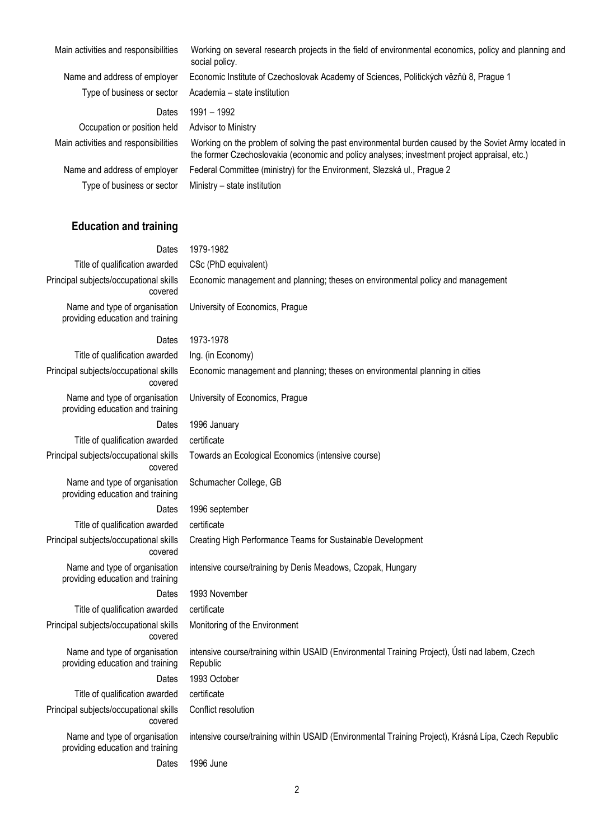| Main activities and responsibilities | Working on several research projects in the field of environmental economics, policy and planning and<br>social policy.                                                                              |
|--------------------------------------|------------------------------------------------------------------------------------------------------------------------------------------------------------------------------------------------------|
| Name and address of employer         | Economic Institute of Czechoslovak Academy of Sciences, Politických vězňů 8, Prague 1                                                                                                                |
| Type of business or sector           | Academia - state institution                                                                                                                                                                         |
| Dates                                | 1991 - 1992                                                                                                                                                                                          |
| Occupation or position held          | Advisor to Ministry                                                                                                                                                                                  |
| Main activities and responsibilities | Working on the problem of solving the past environmental burden caused by the Soviet Army located in<br>the former Czechoslovakia (economic and policy analyses; investment project appraisal, etc.) |
| Name and address of employer         | Federal Committee (ministry) for the Environment, Slezská ul., Prague 2                                                                                                                              |
| Type of business or sector           | Ministry - state institution                                                                                                                                                                         |

#### **Education and training**

#### Dates 1979-1982 Title of qualification awarded CSc (PhD equivalent) Principal subjects/occupational skills covered Economic management and planning; theses on environmental policy and management Name and type of organisation providing education and training University of Economics, Prague Dates 1973-1978 Title of qualification awarded Ing. (in Economy) Principal subjects/occupational skills covered Economic management and planning; theses on environmental planning in cities Name and type of organisation providing education and training University of Economics, Prague Dates 1996 January Title of qualification awarded certificate Principal subjects/occupational skills covered Towards an Ecological Economics (intensive course) Name and type of organisation providing education and training Schumacher College, GB Dates 1996 september Title of qualification awarded certificate Principal subjects/occupational skills covered Creating High Performance Teams for Sustainable Development Name and type of organisation providing education and training intensive course/training by Denis Meadows, Czopak, Hungary Dates 1993 November Title of qualification awarded certificate Principal subjects/occupational skills covered Monitoring of the Environment Name and type of organisation providing education and training intensive course/training within USAID (Environmental Training Project), Ústí nad labem, Czech Republic Dates 1993 October Title of qualification awarded certificate Principal subjects/occupational skills covered Conflict resolution Name and type of organisation providing education and training intensive course/training within USAID (Environmental Training Project), Krásná Lípa, Czech Republic Dates 1996 June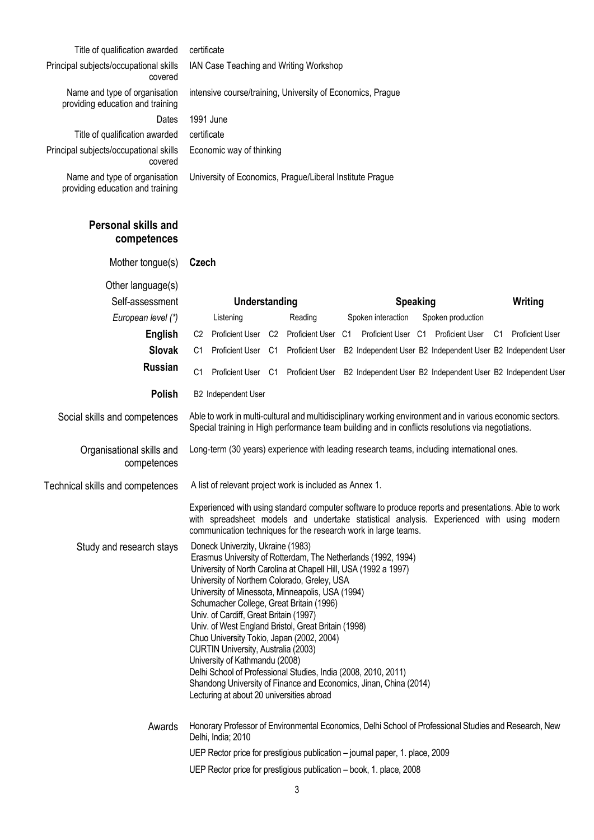| Title of qualification awarded                                    | certificate                                                                                                                                                                                                                                                                                                                                                                                                                                                                                                                                                                                                                                                                                                                      |                                                                                                                                                                                                                |                              |
|-------------------------------------------------------------------|----------------------------------------------------------------------------------------------------------------------------------------------------------------------------------------------------------------------------------------------------------------------------------------------------------------------------------------------------------------------------------------------------------------------------------------------------------------------------------------------------------------------------------------------------------------------------------------------------------------------------------------------------------------------------------------------------------------------------------|----------------------------------------------------------------------------------------------------------------------------------------------------------------------------------------------------------------|------------------------------|
| Principal subjects/occupational skills<br>covered                 | IAN Case Teaching and Writing Workshop                                                                                                                                                                                                                                                                                                                                                                                                                                                                                                                                                                                                                                                                                           |                                                                                                                                                                                                                |                              |
| Name and type of organisation<br>providing education and training | intensive course/training, University of Economics, Prague                                                                                                                                                                                                                                                                                                                                                                                                                                                                                                                                                                                                                                                                       |                                                                                                                                                                                                                |                              |
| Dates                                                             | 1991 June                                                                                                                                                                                                                                                                                                                                                                                                                                                                                                                                                                                                                                                                                                                        |                                                                                                                                                                                                                |                              |
| Title of qualification awarded                                    | certificate                                                                                                                                                                                                                                                                                                                                                                                                                                                                                                                                                                                                                                                                                                                      |                                                                                                                                                                                                                |                              |
| Principal subjects/occupational skills<br>covered                 | Economic way of thinking                                                                                                                                                                                                                                                                                                                                                                                                                                                                                                                                                                                                                                                                                                         |                                                                                                                                                                                                                |                              |
| Name and type of organisation<br>providing education and training | University of Economics, Prague/Liberal Institute Prague                                                                                                                                                                                                                                                                                                                                                                                                                                                                                                                                                                                                                                                                         |                                                                                                                                                                                                                |                              |
| <b>Personal skills and</b><br>competences                         |                                                                                                                                                                                                                                                                                                                                                                                                                                                                                                                                                                                                                                                                                                                                  |                                                                                                                                                                                                                |                              |
| Mother tongue(s)                                                  | Czech                                                                                                                                                                                                                                                                                                                                                                                                                                                                                                                                                                                                                                                                                                                            |                                                                                                                                                                                                                |                              |
| Other language(s)                                                 |                                                                                                                                                                                                                                                                                                                                                                                                                                                                                                                                                                                                                                                                                                                                  |                                                                                                                                                                                                                |                              |
| Self-assessment                                                   | <b>Understanding</b>                                                                                                                                                                                                                                                                                                                                                                                                                                                                                                                                                                                                                                                                                                             | <b>Speaking</b>                                                                                                                                                                                                | Writing                      |
| European level (*)                                                | Reading<br>Listening                                                                                                                                                                                                                                                                                                                                                                                                                                                                                                                                                                                                                                                                                                             | Spoken interaction<br>Spoken production                                                                                                                                                                        |                              |
| English                                                           | Proficient User C2 Proficient User C1<br>C2                                                                                                                                                                                                                                                                                                                                                                                                                                                                                                                                                                                                                                                                                      | Proficient User C1 Proficient User                                                                                                                                                                             | <b>Proficient User</b><br>C1 |
| <b>Slovak</b>                                                     | C1<br>Proficient User C1                                                                                                                                                                                                                                                                                                                                                                                                                                                                                                                                                                                                                                                                                                         | Proficient User B2 Independent User B2 Independent User B2 Independent User                                                                                                                                    |                              |
| <b>Russian</b>                                                    | C <sub>1</sub><br>Proficient User C1 Proficient User                                                                                                                                                                                                                                                                                                                                                                                                                                                                                                                                                                                                                                                                             | B2 Independent User B2 Independent User B2 Independent User                                                                                                                                                    |                              |
| Polish                                                            | B2 Independent User                                                                                                                                                                                                                                                                                                                                                                                                                                                                                                                                                                                                                                                                                                              |                                                                                                                                                                                                                |                              |
| Social skills and competences                                     |                                                                                                                                                                                                                                                                                                                                                                                                                                                                                                                                                                                                                                                                                                                                  | Able to work in multi-cultural and multidisciplinary working environment and in various economic sectors.<br>Special training in High performance team building and in conflicts resolutions via negotiations. |                              |
| Organisational skills and<br>competences                          | Long-term (30 years) experience with leading research teams, including international ones.                                                                                                                                                                                                                                                                                                                                                                                                                                                                                                                                                                                                                                       |                                                                                                                                                                                                                |                              |
| Technical skills and competences                                  | A list of relevant project work is included as Annex 1.                                                                                                                                                                                                                                                                                                                                                                                                                                                                                                                                                                                                                                                                          |                                                                                                                                                                                                                |                              |
|                                                                   | communication techniques for the research work in large teams.                                                                                                                                                                                                                                                                                                                                                                                                                                                                                                                                                                                                                                                                   | Experienced with using standard computer software to produce reports and presentations. Able to work<br>with spreadsheet models and undertake statistical analysis. Experienced with using modern              |                              |
| Study and research stays                                          | Doneck Univerzity, Ukraine (1983)<br>Erasmus University of Rotterdam, The Netherlands (1992, 1994)<br>University of North Carolina at Chapell Hill, USA (1992 a 1997)<br>University of Northern Colorado, Greley, USA<br>University of Minessota, Minneapolis, USA (1994)<br>Schumacher College, Great Britain (1996)<br>Univ. of Cardiff, Great Britain (1997)<br>Univ. of West England Bristol, Great Britain (1998)<br>Chuo University Tokio, Japan (2002, 2004)<br>CURTIN University, Australia (2003)<br>University of Kathmandu (2008)<br>Delhi School of Professional Studies, India (2008, 2010, 2011)<br>Shandong University of Finance and Economics, Jinan, China (2014)<br>Lecturing at about 20 universities abroad |                                                                                                                                                                                                                |                              |
| Awards                                                            | Delhi, India; 2010                                                                                                                                                                                                                                                                                                                                                                                                                                                                                                                                                                                                                                                                                                               | Honorary Professor of Environmental Economics, Delhi School of Professional Studies and Research, New                                                                                                          |                              |

UEP Rector price for prestigious publication – journal paper, 1. place, 2009

UEP Rector price for prestigious publication – book, 1. place, 2008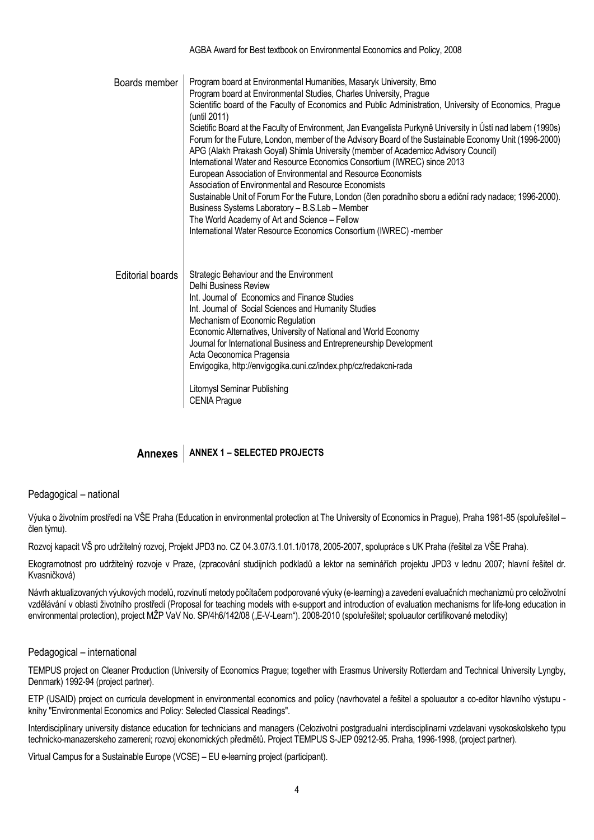| Boards member           | Program board at Environmental Humanities, Masaryk University, Brno<br>Program board at Environmental Studies, Charles University, Prague<br>Scientific board of the Faculty of Economics and Public Administration, University of Economics, Prague<br>(until 2011)<br>Scietific Board at the Faculty of Environment, Jan Evangelista Purkyně University in Ústí nad labem (1990s)<br>Forum for the Future, London, member of the Advisory Board of the Sustainable Economy Unit (1996-2000)<br>APG (Alakh Prakash Goyal) Shimla University (member of Academicc Advisory Council)<br>International Water and Resource Economics Consortium (IWREC) since 2013<br>European Association of Environmental and Resource Economists<br>Association of Environmental and Resource Economists<br>Sustainable Unit of Forum For the Future, London (člen poradního sboru a ediční rady nadace; 1996-2000).<br>Business Systems Laboratory - B.S.Lab - Member<br>The World Academy of Art and Science - Fellow<br>International Water Resource Economics Consortium (IWREC) -member |
|-------------------------|------------------------------------------------------------------------------------------------------------------------------------------------------------------------------------------------------------------------------------------------------------------------------------------------------------------------------------------------------------------------------------------------------------------------------------------------------------------------------------------------------------------------------------------------------------------------------------------------------------------------------------------------------------------------------------------------------------------------------------------------------------------------------------------------------------------------------------------------------------------------------------------------------------------------------------------------------------------------------------------------------------------------------------------------------------------------------|
| <b>Editorial boards</b> | Strategic Behaviour and the Environment<br>Delhi Business Review<br>Int. Journal of Economics and Finance Studies<br>Int. Journal of Social Sciences and Humanity Studies<br>Mechanism of Economic Regulation<br>Economic Alternatives, University of National and World Economy<br>Journal for International Business and Entrepreneurship Development<br>Acta Oeconomica Pragensia<br>Envigogika, http://envigogika.cuni.cz/index.php/cz/redakcni-rada<br><b>Litomysl Seminar Publishing</b><br><b>CENIA Prague</b>                                                                                                                                                                                                                                                                                                                                                                                                                                                                                                                                                        |

AGBA Award for Best textbook on Environmental Economics and Policy, 2008

### **Annexes ANNEX 1 – SELECTED PROJECTS**

Pedagogical – national

Výuka o životním prostředí na VŠE Praha (Education in environmental protection at The University of Economics in Prague), Praha 1981-85 (spoluřešitel – člen týmu).

Rozvoj kapacit VŠ pro udržitelný rozvoj, Projekt JPD3 no. CZ 04.3.07/3.1.01.1/0178, 2005-2007, spolupráce s UK Praha (řešitel za VŠE Praha).

Ekogramotnost pro udržitelný rozvoje v Praze, (zpracování studijních podkladů a lektor na seminářích projektu JPD3 v lednu 2007; hlavní řešitel dr. Kvasničková)

Návrh aktualizovaných výukových modelů, rozvinutí metody počítačem podporované výuky (e-learning) a zavedení evaluačních mechanizmů pro celoživotní vzdělávání v oblasti životního prostředí (Proposal for teaching models with e-support and introduction of evaluation mechanisms for life-long education in environmental protection), project MŽP VaV No. SP/4h6/142/08 ("E-V-Leam"). 2008-2010 (spoluřešitel; spoluautor certifikované metodiky)

#### Pedagogical – international

TEMPUS project on Cleaner Production (University of Economics Prague; together with Erasmus University Rotterdam and Technical University Lyngby, Denmark) 1992-94 (project partner).

ETP (USAID) project on curricula development in environmental economics and policy (navrhovatel a řešitel a spoluautor a co-editor hlavního výstupu knihy "Environmental Economics and Policy: Selected Classical Readings".

Interdisciplinary university distance education for technicians and managers (Celozivotni postgradualni interdisciplinarni vzdelavani vysokoskolskeho typu technicko-manazerskeho zamereni; rozvoj ekonomických předmětů. Project TEMPUS S-JEP 09212-95. Praha, 1996-1998, (project partner).

Virtual Campus for a Sustainable Europe (VCSE) – EU e-learning project (participant).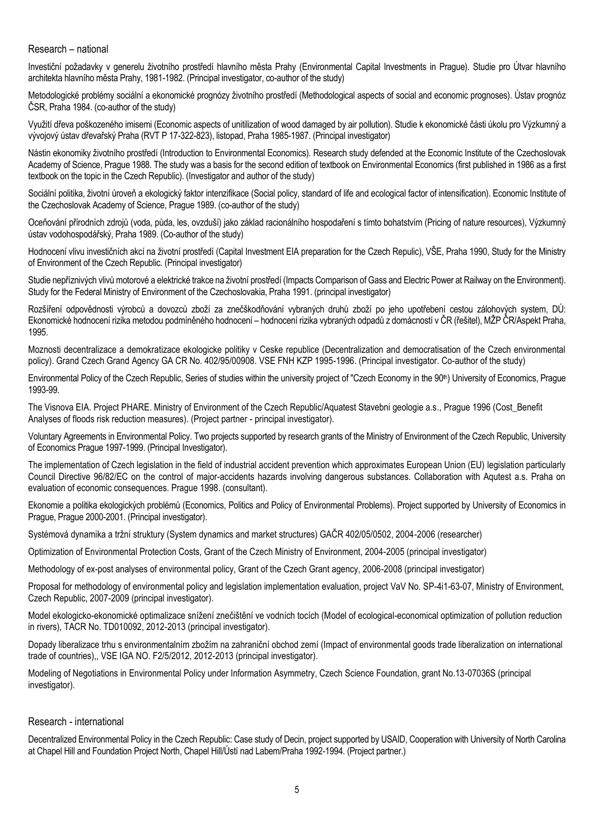#### Research – national

Investiční požadavky v generelu životního prostředí hlavního města Prahy (Environmental Capital Investments in Prague). Studie pro Útvar hlavního architekta hlavního města Prahy, 1981-1982. (Principal investigator, co-author of the study)

Metodologické problémy sociální a ekonomické prognózy životního prostředí (Methodological aspects of social and economic prognoses). Ústav prognóz ČSR, Praha 1984. (co-author of the study)

Využití dřeva poškozeného imisemi (Economic aspects of unitilization of wood damaged by air pollution). Studie k ekonomické části úkolu pro Výzkumný a vývojový ústav dřevařský Praha (RVT P 17-322-823), listopad, Praha 1985-1987. (Principal investigator)

Nástin ekonomiky životního prostředí (Introduction to Environmental Economics). Research study defended at the Economic Institute of the Czechoslovak Academy of Science, Prague 1988. The study was a basis for the second edition of textbook on Environmental Economics (first published in 1986 as a first textbook on the topic in the Czech Republic). (Investigator and author of the study)

Sociální politika, životní úroveň a ekologický faktor intenzifikace (Social policy, standard of life and ecological factor of intensification). Economic Institute of the Czechoslovak Academy of Science, Prague 1989. (co-author of the study)

Oceňování přírodních zdrojů (voda, půda, les, ovzduší) jako základ racionálního hospodaření s tímto bohatstvím (Pricing of nature resources), Výzkumný ústav vodohospodářský, Praha 1989. (Co-author of the study)

Hodnocení vlivu investičních akcí na životní prostředí (Capital Investment EIA preparation for the Czech Repulic), VŠE, Praha 1990, Study for the Ministry of Environment of the Czech Republic. (Principal investigator)

Studie nepříznivých vlivů motorové a elektrické trakce na životní prostředí (Impacts Comparison of Gass and Electric Power at Railway on the Environment). Study for the Federal Ministry of Environment of the Czechoslovakia, Praha 1991. (principal investigator)

Rozšíření odpovědnosti výrobců a dovozců zboží za znečškodňování vybraných druhů zboží po jeho upotřebení cestou zálohových system, DÚ: Ekonomické hodnocení rizika metodou podmíněného hodnocení – hodnocení rizika vybraných odpadů z domácností v ČR (řešitel), MŽP ČR/Aspekt Praha, 1995.

Moznosti decentralizace a demokratizace ekologicke politiky v Ceske republice (Decentralization and democratisation of the Czech environmental policy). Grand Czech Grand Agency GA CR No. 402/95/00908. VSE FNH KZP 1995-1996. (Principal investigator. Co-author of the study)

Environmental Policy of the Czech Republic, Series of studies within the university project of "Czech Economy in the 90th) University of Economics, Prague 1993-99.

The Visnova EIA. Project PHARE. Ministry of Environment of the Czech Republic/Aquatest Stavebni geologie a.s., Prague 1996 (Cost\_Benefit Analyses of floods risk reduction measures). (Project partner - principal investigator).

Voluntary Agreements in Environmental Policy. Two projects supported by research grants of the Ministry of Environment of the Czech Republic, University of Economics Prague 1997-1999. (Principal Investigator).

The implementation of Czech legislation in the field of industrial accident prevention which approximates European Union (EU) legislation particularly Council Directive 96/82/EC on the control of major-accidents hazards involving dangerous substances. Collaboration with Aqutest a.s. Praha on evaluation of economic consequences. Prague 1998. (consultant).

Ekonomie a politika ekologických problémů (Economics, Politics and Policy of Environmental Problems). Project supported by University of Economics in Prague, Prague 2000-2001. (Principal investigator).

Systémová dynamika a tržní struktury (System dynamics and market structures) GAČR 402/05/0502, 2004-2006 (researcher)

Optimization of Environmental Protection Costs, Grant of the Czech Ministry of Environment, 2004-2005 (principal investigator)

Methodology of ex-post analyses of environmental policy, Grant of the Czech Grant agency, 2006-2008 (principal investigator)

Proposal for methodology of environmental policy and legislation implementation evaluation, project VaV No. SP-4i1-63-07, Ministry of Environment, Czech Republic, 2007-2009 (principal investigator).

Model ekologicko-ekonomické optimalizace snížení znečištění ve vodních tocích (Model of ecological-economical optimization of pollution reduction in rivers), TACR No. TD010092, 2012-2013 (principal investigator).

Dopady liberalizace trhu s environmentalním zbožím na zahraniční obchod zemí (Impact of environmental goods trade liberalization on international trade of countries),, VSE IGA NO. F2/5/2012, 2012-2013 (principal investigator).

Modeling of Negotiations in Environmental Policy under Information Asymmetry, Czech Science Foundation, grant No.13-07036S (principal investigator).

#### Research - international

Decentralized Environmental Policy in the Czech Republic: Case study of Decin, project supported by USAID, Cooperation with University of North Carolina at Chapel Hill and Foundation Project North, Chapel Hill/Ústí nad Labem/Praha 1992-1994. (Project partner.)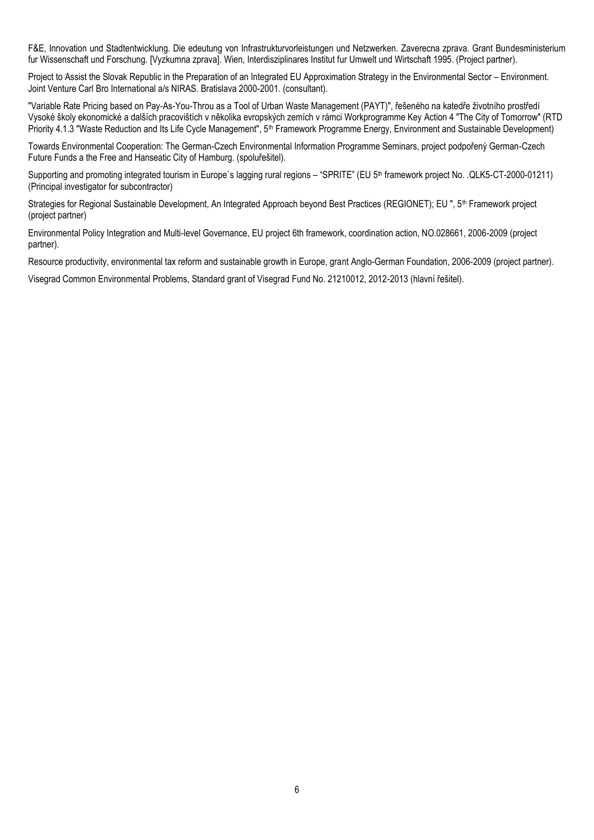F&E, Innovation und Stadtentwicklung. Die edeutung von Infrastrukturvorleistungen und Netzwerken. Zaverecna zprava. Grant Bundesministerium fur Wissenschaft und Forschung. [Vyzkumna zprava]. Wien, Interdisziplinares Institut fur Umwelt und Wirtschaft 1995. (Project partner).

Project to Assist the Slovak Republic in the Preparation of an Integrated EU Approximation Strategy in the Environmental Sector – Environment. Joint Venture Carl Bro International a/s NIRAS. Bratislava 2000-2001. (consultant).

"Variable Rate Pricing based on Pay-As-You-Throu as a Tool of Urban Waste Management (PAYT)", řešeného na katedře životního prostředí Vysoké školy ekonomické a dalších pracovištích v několika evropských zemích v rámci Workprogramme Key Action 4 "The City of Tomorrow" (RTD Priority 4.1.3 "Waste Reduction and Its Life Cycle Management", 5<sup>th</sup> Framework Programme Energy, Environment and Sustainable Development)

Towards Environmental Cooperation: The German-Czech Environmental Information Programme Seminars, project podpořený German-Czech Future Funds a the Free and Hanseatic City of Hamburg. (spoluřešitel).

Supporting and promoting integrated tourism in Europe's lagging rural regions – "SPRITE" (EU 5<sup>th</sup> framework project No. .QLK5-CT-2000-01211) (Principal investigator for subcontractor)

Strategies for Regional Sustainable Development, An Integrated Approach beyond Best Practices (REGIONET); EU ", 5<sup>th</sup> Framework project (project partner)

Environmental Policy Integration and Multi-level Governance, EU project 6th framework, coordination action, NO.028661, 2006-2009 (project partner).

Resource productivity, environmental tax reform and sustainable growth in Europe, grant Anglo-German Foundation, 2006-2009 (project partner).

Visegrad Common Environmental Problems, Standard grant of Visegrad Fund No. 21210012, 2012-2013 (hlavní řešitel).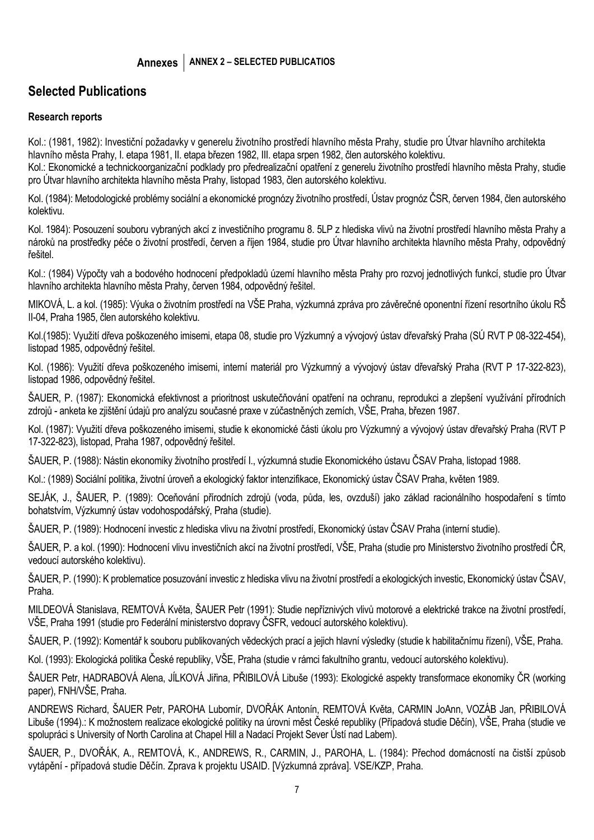# **Selected Publications**

### **Research reports**

Kol.: (1981, 1982): Investiční požadavky v generelu životního prostředí hlavního města Prahy, studie pro Útvar hlavního architekta hlavního města Prahy, I. etapa 1981, II. etapa březen 1982, III. etapa srpen 1982, člen autorského kolektivu.

Kol.: Ekonomické a technickoorganizační podklady pro předrealizační opatření z generelu životního prostředí hlavního města Prahy, studie pro Útvar hlavního architekta hlavního města Prahy, listopad 1983, člen autorského kolektivu.

Kol. (1984): Metodologické problémy sociální a ekonomické prognózy životního prostředí, Ústav prognóz ČSR, červen 1984, člen autorského kolektivu.

Kol. 1984): Posouzení souboru vybraných akcí z investičního programu 8. 5LP z hlediska vlivů na životní prostředí hlavního města Prahy a nároků na prostředky péče o životní prostředí, červen a říjen 1984, studie pro Útvar hlavního architekta hlavního města Prahy, odpovědný řešitel.

Kol.: (1984) Výpočty vah a bodového hodnocení předpokladů území hlavního města Prahy pro rozvoj jednotlivých funkcí, studie pro Útvar hlavního architekta hlavního města Prahy, červen 1984, odpovědný řešitel.

MIKOVÁ, L. a kol. (1985): Výuka o životním prostředí na VŠE Praha, výzkumná zpráva pro závěrečné oponentní řízení resortního úkolu RŠ II-04, Praha 1985, člen autorského kolektivu.

Kol.(1985): Využití dřeva poškozeného imisemi, etapa 08, studie pro Výzkumný a vývojový ústav dřevařský Praha (SÚ RVT P 08-322-454), listopad 1985, odpovědný řešitel.

Kol. (1986): Využití dřeva poškozeného imisemi, interní materiál pro Výzkumný a vývojový ústav dřevařský Praha (RVT P 17-322-823), listopad 1986, odpovědný řešitel.

ŠAUER, P. (1987): Ekonomická efektivnost a prioritnost uskutečňování opatření na ochranu, reprodukci a zlepšení využívání přírodních zdrojů - anketa ke zjištění údajů pro analýzu současné praxe v zúčastněných zemích, VŠE, Praha, březen 1987.

Kol. (1987): Využití dřeva poškozeného imisemi, studie k ekonomické části úkolu pro Výzkumný a vývojový ústav dřevařský Praha (RVT P 17-322-823), listopad, Praha 1987, odpovědný řešitel.

ŠAUER, P. (1988): Nástin ekonomiky životního prostředí I., výzkumná studie Ekonomického ústavu ČSAV Praha, listopad 1988.

Kol.: (1989) Sociální politika, životní úroveň a ekologický faktor intenzifikace, Ekonomický ústav ČSAV Praha, květen 1989.

SEJÁK, J., ŠAUER, P. (1989): Oceňování přírodních zdrojů (voda, půda, les, ovzduší) jako základ racionálního hospodaření s tímto bohatstvím, Výzkumný ústav vodohospodářský, Praha (studie).

ŠAUER, P. (1989): Hodnocení investic z hlediska vlivu na životní prostředí, Ekonomický ústav ČSAV Praha (interní studie).

ŠAUER, P. a kol. (1990): Hodnocení vlivu investičních akcí na životní prostředí, VŠE, Praha (studie pro Ministerstvo životního prostředí ČR, vedoucí autorského kolektivu).

ŠAUER, P. (1990): K problematice posuzování investic z hlediska vlivu na životní prostředí a ekologických investic, Ekonomický ústav ČSAV, Praha.

MILDEOVÁ Stanislava, REMTOVÁ Květa, ŠAUER Petr (1991): Studie nepříznivých vlivů motorové a elektrické trakce na životní prostředí, VŠE, Praha 1991 (studie pro Federální ministerstvo dopravy ČSFR, vedoucí autorského kolektivu).

ŠAUER, P. (1992): Komentář k souboru publikovaných vědeckých prací a jejich hlavní výsledky (studie k habilitačnímu řízení), VŠE, Praha.

Kol. (1993): Ekologická politika České republiky, VŠE, Praha (studie v rámci fakultního grantu, vedoucí autorského kolektivu).

ŠAUER Petr, HADRABOVÁ Alena, JÍLKOVÁ Jiřina, PŘIBILOVÁ Libuše (1993): Ekologické aspekty transformace ekonomiky ČR (working paper), FNH/VŠE, Praha.

ANDREWS Richard, ŠAUER Petr, PAROHA Lubomír, DVOŘÁK Antonín, REMTOVÁ Květa, CARMIN JoAnn, VOZÁB Jan, PŘIBILOVÁ Libuše (1994).: K možnostem realizace ekologické politiky na úrovni měst České republiky (Případová studie Děčín), VŠE, Praha (studie ve spolupráci s University of North Carolina at Chapel Hill a Nadací Projekt Sever Ústí nad Labem).

ŠAUER, P., DVOŘÁK, A., REMTOVÁ, K., ANDREWS, R., CARMIN, J., PAROHA, L. (1984): Přechod domácností na čistší způsob vytápění - případová studie Děčín. Zprava k projektu USAID. [Výzkumná zpráva]. VSE/KZP, Praha.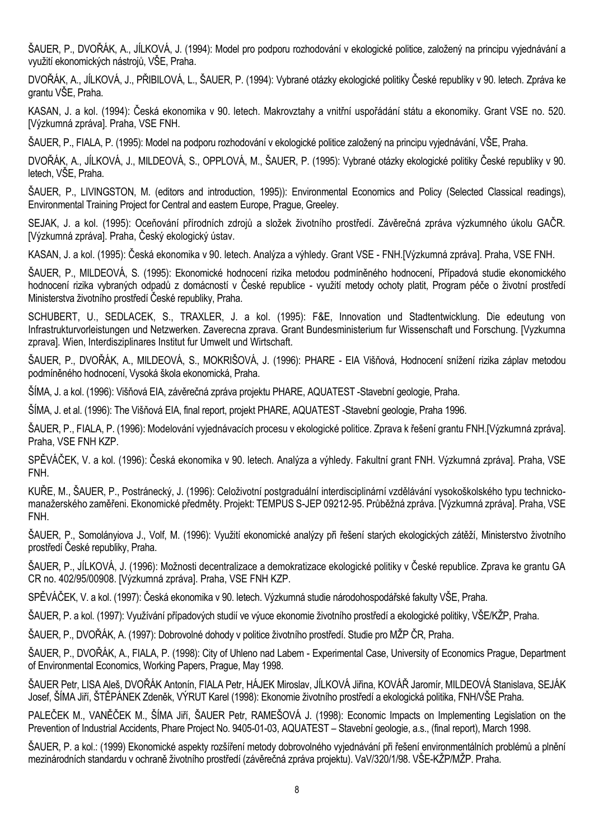ŠAUER, P., DVOŘÁK, A., JÍLKOVÁ, J. (1994): Model pro podporu rozhodování v ekologické politice, založený na principu vyjednávání a využití ekonomických nástrojů, VŠE, Praha.

DVOŘÁK, A., JÍLKOVÁ, J., PŘIBILOVÁ, L., ŠAUER, P. (1994): Vybrané otázky ekologické politiky České republiky v 90. letech. Zpráva ke grantu VŠE, Praha.

KASAN, J. a kol. (1994): Česká ekonomika v 90. letech. Makrovztahy a vnitřní uspořádání státu a ekonomiky. Grant VSE no. 520. [Výzkumná zpráva]. Praha, VSE FNH.

ŠAUER, P., FIALA, P. (1995): Model na podporu rozhodování v ekologické politice založený na principu vyjednávání, VŠE, Praha.

DVOŘÁK, A., JÍLKOVÁ, J., MILDEOVÁ, S., OPPLOVÁ, M., ŠAUER, P. (1995): Vybrané otázky ekologické politiky České republiky v 90. letech, VŠE, Praha.

ŠAUER, P., LIVINGSTON, M. (editors and introduction, 1995)): Environmental Economics and Policy (Selected Classical readings), Environmental Training Project for Central and eastern Europe, Prague, Greeley.

SEJAK, J. a kol. (1995): Oceňování přírodních zdrojů a složek životního prostředí. Závěrečná zpráva výzkumného úkolu GAČR. [Výzkumná zpráva]. Praha, Český ekologický ústav.

KASAN, J. a kol. (1995): Česká ekonomika v 90. letech. Analýza a výhledy. Grant VSE - FNH.[Výzkumná zpráva]. Praha, VSE FNH.

ŠAUER, P., MILDEOVÁ, S. (1995): Ekonomické hodnocení rizika metodou podmíněného hodnocení, Případová studie ekonomického hodnocení rizika vybraných odpadů z domácností v České republice - využití metody ochoty platit, Program péče o životní prostředí Ministerstva životního prostředí České republiky, Praha.

SCHUBERT, U., SEDLACEK, S., TRAXLER, J. a kol. (1995): F&E, Innovation und Stadtentwicklung. Die edeutung von Infrastrukturvorleistungen und Netzwerken. Zaverecna zprava. Grant Bundesministerium fur Wissenschaft und Forschung. [Vyzkumna zprava]. Wien, Interdisziplinares Institut fur Umwelt und Wirtschaft.

ŠAUER, P., DVOŘÁK, A., MILDEOVÁ, S., MOKRIŠOVÁ, J. (1996): PHARE - EIA Višňová, Hodnocení snížení rizika záplav metodou podmíněného hodnocení, Vysoká škola ekonomická, Praha.

ŠÍMA, J. a kol. (1996): Višňová EIA, závěrečná zpráva projektu PHARE, AQUATEST -Stavební geologie, Praha.

ŠÍMA, J. et al. (1996): The Višňová EIA, final report, projekt PHARE, AQUATEST -Stavební geologie, Praha 1996.

ŠAUER, P., FIALA, P. (1996): Modelování vyjednávacích procesu v ekologické politice. Zprava k řešení grantu FNH.[Výzkumná zpráva]. Praha, VSE FNH KZP.

SPĚVÁČEK, V. a kol. (1996): Česká ekonomika v 90. letech. Analýza a výhledy. Fakultní grant FNH. Výzkumná zpráva]. Praha, VSE FNH.

KUŘE, M., ŠAUER, P., Postránecký, J. (1996): Celoživotní postgraduální interdisciplinární vzdělávání vysokoškolského typu technickomanažerského zaměřeni. Ekonomické předměty. Projekt: TEMPUS S-JEP 09212-95. Průběžná zpráva. [Výzkumná zpráva]. Praha, VSE FNH.

ŠAUER, P., Somolányiova J., Volf, M. (1996): Využití ekonomické analýzy při řešení starých ekologických zátěží, Ministerstvo životního prostředí České republiky, Praha.

ŠAUER, P., JÍLKOVÁ, J. (1996): Možnosti decentralizace a demokratizace ekologické politiky v České republice. Zprava ke grantu GA CR no. 402/95/00908. [Výzkumná zpráva]. Praha, VSE FNH KZP.

SPĚVÁČEK, V. a kol. (1997): Česká ekonomika v 90. letech. Výzkumná studie národohospodářské fakulty VŠE, Praha.

ŠAUER, P. a kol. (1997): Využívání případových studií ve výuce ekonomie životního prostředí a ekologické politiky, VŠE/KŽP, Praha.

ŠAUER, P., DVOŘÁK, A. (1997): Dobrovolné dohody v politice životního prostředí. Studie pro MŽP ČR, Praha.

ŠAUER, P., DVOŘÁK, A., FIALA, P. (1998): City of Uhleno nad Labem - Experimental Case, University of Economics Prague, Department of Environmental Economics, Working Papers, Prague, May 1998.

ŠAUER Petr, LISA Aleš, DVOŘÁK Antonín, FIALA Petr, HÁJEK Miroslav, JÍLKOVÁ Jiřina, KOVÁŘ Jaromír, MILDEOVÁ Stanislava, SEJÁK Josef, ŠÍMA Jiří, ŠTĚPÁNEK Zdeněk, VÝRUT Karel (1998): Ekonomie životního prostředí a ekologická politika, FNH/VŠE Praha.

PALEČEK M., VANĚČEK M., ŠÍMA Jiří, ŠAUER Petr, RAMEŠOVÁ J. (1998): Economic Impacts on Implementing Legislation on the Prevention of Industrial Accidents, Phare Project No. 9405-01-03, AQUATEST – Stavební geologie, a.s., (final report), March 1998.

ŠAUER, P. a kol.: (1999) Ekonomické aspekty rozšíření metody dobrovolného vyjednávání při řešení environmentálních problémů a plnění mezinárodních standardu v ochraně životního prostředí (závěrečná zpráva projektu). VaV/320/1/98. VŠE-KŽP/MŽP. Praha.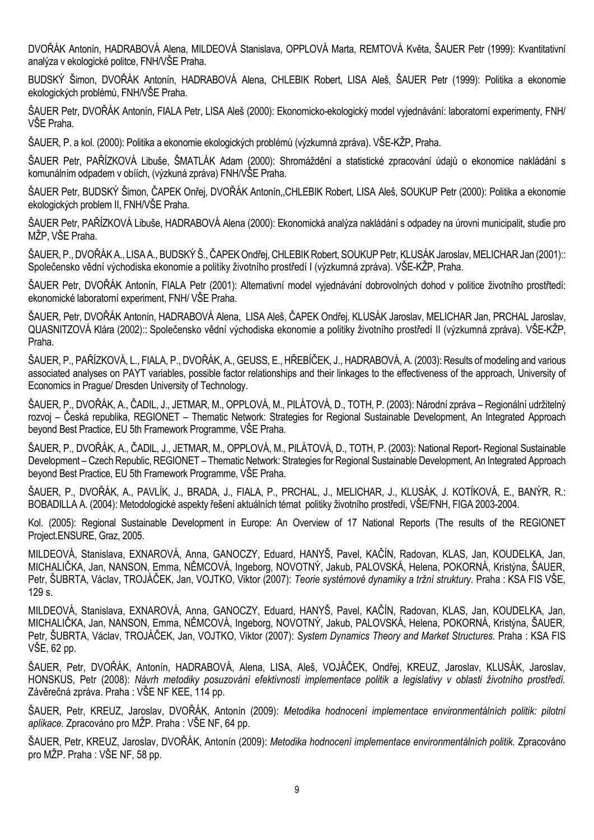DVOŘÁK Antonín, HADRABOVÁ Alena, MILDEOVÁ Stanislava, OPPLOVÁ Marta, REMTOVÁ Květa, ŠAUER Petr (1999): Kvantitativní analýza v ekologické politce, FNH/VŠE Praha.

BUDSKÝ Šimon, DVOŘÁK Antonín, HADRABOVÁ Alena, CHLEBIK Robert, LISA Aleš, ŠAUER Petr (1999): Politika a ekonomie ekologických problémů, FNH/VŠE Praha.

ŠAUER Petr, DVOŘÁK Antonín, FIALA Petr, LISA Aleš (2000): Ekonomicko-ekologický model vyjednávání: laboratorní experimenty, FNH/ VŠE Praha.

ŠAUER, P. a kol. (2000): Politika a ekonomie ekologických problémů (výzkumná zpráva). VŠE-KŽP, Praha.

ŠAUER Petr, PAŘÍZKOVÁ Libuše, ŠMATLÁK Adam (2000): Shromáždění a statistické zpracování údajů o ekonomice nakládání s komunálním odpadem v obíích, (výzkuná zpráva) FNH/VŠE Praha.

ŠAUER Petr, BUDSKÝ Šimon, ČAPEK Onřej, DVOŘÁK Antonín,,CHLEBIK Robert, LISA Aleš, SOUKUP Petr (2000): Politika a ekonomie ekologických problem II, FNH/VŠE Praha.

ŠAUER Petr, PAŘÍZKOVÁ Libuše, HADRABOVÁ Alena (2000): Ekonomická analýza nakládání s odpadey na úrovni municipalit, studie pro MŽP, VŠE Praha.

ŠAUER, P., DVOŘÁK A., LISA A., BUDSKÝ Š., ČAPEK Ondřej, CHLEBIK Robert, SOUKUP Petr, KLUSÁK Jaroslav, MELICHAR Jan (2001):: Společensko vědní východiska ekonomie a politiky životního prostředí I (výzkumná zpráva). VŠE-KŽP, Praha.

ŠAUER Petr, DVOŘÁK Antonín, FIALA Petr (2001): Alternativní model vyjednávání dobrovolných dohod v politice životního prostřtedí: ekonomické laboratorní experiment, FNH/ VŠE Praha.

ŠAUER, Petr, DVOŘÁK Antonín, HADRABOVÁ Alena, LISA Aleš, ČAPEK Ondřej, KLUSÁK Jaroslav, MELICHAR Jan, PRCHAL Jaroslav, QUASNITZOVÁ Klára (2002):: Společensko vědní východiska ekonomie a politiky životního prostředí II (výzkumná zpráva). VŠE-KŽP, Praha.

ŠAUER, P., PAŘÍZKOVÁ, L., FIALA, P., DVOŘÁK, A., GEUSS, E., HŘEBÍČEK, J., HADRABOVÁ, A. (2003): Results of modeling and various associated analyses on PAYT variables, possible factor relationships and their linkages to the effectiveness of the approach, University of Economics in Prague/ Dresden University of Technology.

ŠAUER, P., DVOŘÁK, A., ČADIL, J., JETMAR, M., OPPLOVÁ, M., PILÁTOVÁ, D., TOTH, P. (2003): Národní zpráva – Regionální udržitelný rozvoj – Česká republika, REGIONET – Thematic Network: Strategies for Regional Sustainable Development, An Integrated Approach beyond Best Practice, EU 5th Framework Programme, VŠE Praha.

ŠAUER, P., DVOŘÁK, A., ČADIL, J., JETMAR, M., OPPLOVÁ, M., PILÁTOVÁ, D., TOTH, P. (2003): National Report- Regional Sustainable Development – Czech Republic, REGIONET – Thematic Network: Strategies for Regional Sustainable Development, An Integrated Approach beyond Best Practice, EU 5th Framework Programme, VŠE Praha.

ŠAUER, P., DVOŘÁK, A., PAVLÍK, J., BRADA, J., FIALA, P., PRCHAL, J., MELICHAR, J., KLUSÁK, J. KOTÍKOVÁ, E., BANÝR, R.: BOBADILLA A. (2004): Metodologické aspekty řešení aktuálních témat politiky životního prostředí, VŠE/FNH, FIGA 2003-2004.

Kol. (2005): Regional Sustainable Development in Europe: An Overview of 17 National Reports (The results of the REGIONET Project.ENSURE, Graz, 2005.

MILDEOVÁ, Stanislava, EXNAROVÁ, Anna, GANOCZY, Eduard, HANYŠ, Pavel, KAČÍN, Radovan, KLAS, Jan, KOUDELKA, Jan, MICHALIČKA, Jan, NANSON, Emma, NĚMCOVÁ, Ingeborg, NOVOTNÝ, Jakub, PALOVSKÁ, Helena, POKORNÁ, Kristýna, ŠAUER, Petr, ŠUBRTA, Václav, TROJÁČEK, Jan, VOJTKO, Viktor (2007): *Teorie systémové dynamiky a tržní struktury.* Praha : KSA FIS VŠE, 129 s.

MILDEOVÁ, Stanislava, EXNAROVÁ, Anna, GANOCZY, Eduard, HANYŠ, Pavel, KAČÍN, Radovan, KLAS, Jan, KOUDELKA, Jan, MICHALIČKA, Jan, NANSON, Emma, NĚMCOVÁ, Ingeborg, NOVOTNÝ, Jakub, PALOVSKÁ, Helena, POKORNÁ, Kristýna, ŠAUER, Petr, ŠUBRTA, Václav, TROJÁČEK, Jan, VOJTKO, Viktor (2007): *System Dynamics Theory and Market Structures.* Praha : KSA FIS VŠE, 62 pp.

ŠAUER, Petr, DVOŘÁK, Antonín, HADRABOVÁ, Alena, LISA, Aleš, VOJÁČEK, Ondřej, KREUZ, Jaroslav, KLUSÁK, Jaroslav, HONSKUS, Petr (2008): *Návrh metodiky posuzování efektivnosti implementace politik a legislativy v oblasti životního prostředí.* Závěrečná zpráva. Praha : VŠE NF KEE, 114 pp.

ŠAUER, Petr, KREUZ, Jaroslav, DVOŘÁK, Antonín (2009): *Metodika hodnocení implementace environmentálních politik: pilotní aplikace.* Zpracováno pro MŽP. Praha : VŠE NF, 64 pp.

ŠAUER, Petr, KREUZ, Jaroslav, DVOŘÁK, Antonín (2009): *Metodika hodnocení implementace environmentálních politik.* Zpracováno pro MŽP. Praha : VŠE NF, 58 pp.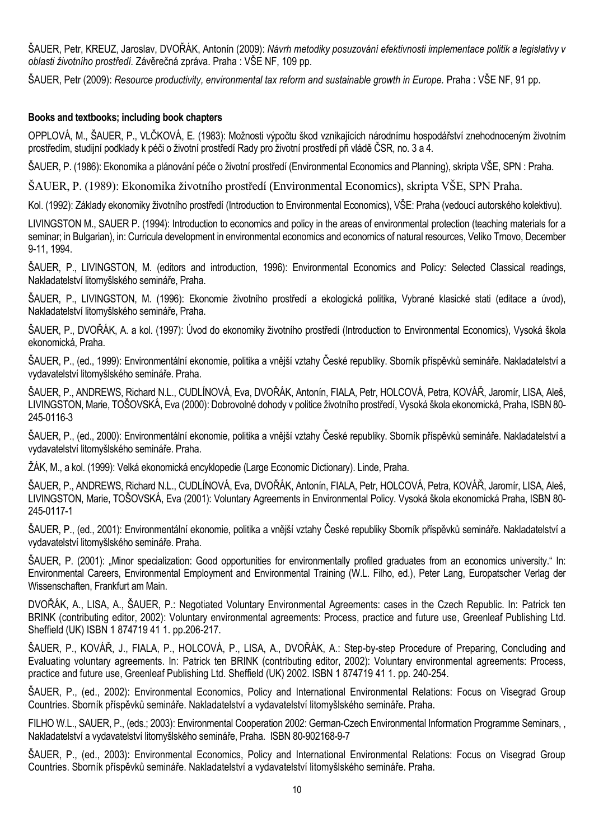ŠAUER, Petr, KREUZ, Jaroslav, DVOŘÁK, Antonín (2009): *Návrh metodiky posuzování efektivnosti implementace politik a legislativy v oblasti životního prostředí.* Závěrečná zpráva. Praha : VŠE NF, 109 pp.

ŠAUER, Petr (2009): *Resource productivity, environmental tax reform and sustainable growth in Europe.* Praha : VŠE NF, 91 pp.

### **Books and textbooks; including book chapters**

OPPLOVÁ, M., ŠAUER, P., VLČKOVÁ, E. (1983): Možnosti výpočtu škod vznikajících národnímu hospodářství znehodnoceným životním prostředím, studijní podklady k péči o životní prostředí Rady pro životní prostředí při vládě ČSR, no. 3 a 4.

ŠAUER, P. (1986): Ekonomika a plánování péče o životní prostředí (Environmental Economics and Planning), skripta VŠE, SPN : Praha.

ŠAUER, P. (1989): Ekonomika životního prostředí (Environmental Economics), skripta VŠE, SPN Praha.

Kol. (1992): Základy ekonomiky životního prostředí (Introduction to Environmental Economics), VŠE: Praha (vedoucí autorského kolektivu).

LIVINGSTON M., SAUER P. (1994): Introduction to economics and policy in the areas of environmental protection (teaching materials for a seminar; in Bulgarian), in: Curricula development in environmental economics and economics of natural resources, Veliko Trnovo, December 9-11, 1994.

ŠAUER, P., LIVINGSTON, M. (editors and introduction, 1996): Environmental Economics and Policy: Selected Classical readings, Nakladatelství litomyšlského semináře, Praha.

ŠAUER, P., LIVINGSTON, M. (1996): Ekonomie životního prostředí a ekologická politika, Vybrané klasické stati (editace a úvod), Nakladatelství litomyšlského semináře, Praha.

ŠAUER, P., DVOŘÁK, A. a kol. (1997): Úvod do ekonomiky životního prostředí (Introduction to Environmental Economics), Vysoká škola ekonomická, Praha.

ŠAUER, P., (ed., 1999): Environmentální ekonomie, politika a vnější vztahy České republiky. Sborník příspěvků semináře. Nakladatelství a vydavatelství litomyšlského semináře. Praha.

ŠAUER, P., ANDREWS, Richard N.L., CUDLÍNOVÁ, Eva[, DVOŘÁK, Antonín](http://eso.vse.cz/~sklenak/pcvse/pcvse-sfx.php?krestni=Anton%EDn&prijmeni=DVO%D8%C1K&katedra=KZP)[, FIALA, Petr](http://eso.vse.cz/~sklenak/pcvse/pcvse-sfx.php?krestni=Petr&prijmeni=FIALA&katedra=KEKO), HOLCOVÁ, Petra, KOVÁŘ, Jaromír, [LISA, Aleš](http://eso.vse.cz/~sklenak/pcvse/pcvse-sfx.php?krestni=Ale%9A&prijmeni=LISA&katedra=KPOL), LIVINGSTON, Marie, TOŠOVSKÁ, Eva (2000): Dobrovolné dohody v politice životního prostředí, Vysoká škola ekonomická, Praha, ISBN 80- 245-0116-3

ŠAUER, P., (ed., 2000): Environmentální ekonomie, politika a vnější vztahy České republiky. Sborník příspěvků semináře. Nakladatelství a vydavatelství litomyšlského semináře. Praha.

ŽÁK, M., a kol. (1999): Velká ekonomická encyklopedie (Large Economic Dictionary). Linde, Praha.

ŠAUER, P., ANDREWS, Richard N.L., CUDLÍNOVÁ, Eva[, DVOŘÁK, Antonín](http://eso.vse.cz/~sklenak/pcvse/pcvse-sfx.php?krestni=Anton%EDn&prijmeni=DVO%D8%C1K&katedra=KZP)[, FIALA, Petr](http://eso.vse.cz/~sklenak/pcvse/pcvse-sfx.php?krestni=Petr&prijmeni=FIALA&katedra=KEKO), HOLCOVÁ, Petra, KOVÁŘ, Jaromír, [LISA, Aleš](http://eso.vse.cz/~sklenak/pcvse/pcvse-sfx.php?krestni=Ale%9A&prijmeni=LISA&katedra=KPOL), LIVINGSTON, Marie, TOŠOVSKÁ, Eva (2001): Voluntary Agreements in Environmental Policy. Vysoká škola ekonomická Praha, ISBN 80- 245-0117-1

ŠAUER, P., (ed., 2001): Environmentální ekonomie, politika a vnější vztahy České republiky Sborník příspěvků semináře. Nakladatelství a vydavatelství litomyšlského semináře. Praha.

ŠAUER, P. (2001): "Minor specialization: Good opportunities for environmentally profiled graduates from an economics university." In: Environmental Careers, Environmental Employment and Environmental Training (W.L. Filho, ed.), Peter Lang, Europatscher Verlag der Wissenschaften, Frankfurt am Main.

DVOŘÁK, A., LISA, A., ŠAUER, P.: Negotiated Voluntary Environmental Agreements: cases in the Czech Republic. In: Patrick ten BRINK (contributing editor, 2002): Voluntary environmental agreements: Process, practice and future use, Greenleaf Publishing Ltd. Sheffield (UK) ISBN 1 874719 41 1. pp.206-217.

ŠAUER, P., KOVÁŘ, J., FIALA, P., HOLCOVÁ, P., LISA, A., DVOŘÁK, A.: Step-by-step Procedure of Preparing, Concluding and Evaluating voluntary agreements. In: Patrick ten BRINK (contributing editor, 2002): Voluntary environmental agreements: Process, practice and future use, Greenleaf Publishing Ltd. Sheffield (UK) 2002. ISBN 1 874719 41 1. pp. 240-254.

ŠAUER, P., (ed., 2002): Environmental Economics, Policy and International Environmental Relations: Focus on Visegrad Group Countries. Sborník příspěvků semináře. Nakladatelství a vydavatelství litomyšlského semináře. Praha.

FILHO W.L., SAUER, P., (eds.; 2003): Environmental Cooperation 2002: German-Czech Environmental Information Programme Seminars, , Nakladatelství a vydavatelství litomyšlského semináře, Praha. ISBN 80-902168-9-7

ŠAUER, P., (ed., 2003): Environmental Economics, Policy and International Environmental Relations: Focus on Visegrad Group Countries. Sborník příspěvků semináře. Nakladatelství a vydavatelství litomyšlského semináře. Praha.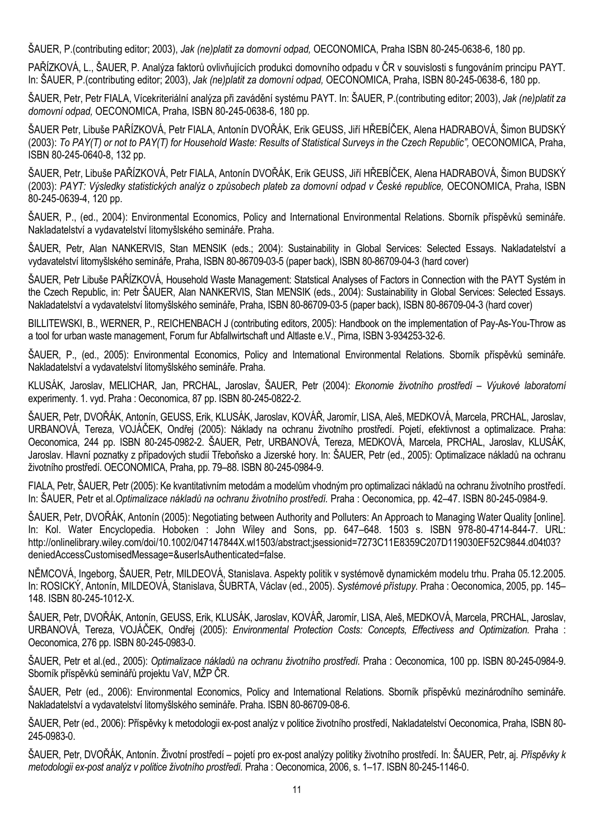ŠAUER, P.(contributing editor; 2003), *Jak (ne)platit za domovní odpad,* OECONOMICA, Praha ISBN 80-245-0638-6, 180 pp.

PAŘÍZKOVÁ, L., ŠAUER, P. Analýza faktorů ovlivňujících produkci domovního odpadu v ČR v souvislosti s fungováním principu PAYT. In: ŠAUER, P.(contributing editor; 2003), *Jak (ne)platit za domovní odpad,* OECONOMICA, Praha, ISBN 80-245-0638-6, 180 pp.

ŠAUER, Petr, Petr FIALA, Vícekriteriální analýza při zavádění systému PAYT. In: ŠAUER, P.(contributing editor; 2003), *Jak (ne)platit za domovní odpad,* OECONOMICA, Praha, ISBN 80-245-0638-6, 180 pp.

ŠAUER Petr, Libuše PAŘÍZKOVÁ, Petr FIALA, Antonín DVOŘÁK, Erik GEUSS, Jiří HŘEBÍČEK, Alena HADRABOVÁ, Šimon BUDSKÝ (2003): *To PAY(T) or not to PAY(T) for Household Waste: Results of Statistical Surveys in the Czech Republic",* OECONOMICA, Praha, ISBN 80-245-0640-8, 132 pp.

ŠAUER, Petr, Libuše PAŘÍZKOVÁ, Petr FIALA, Antonín DVOŘÁK, Erik GEUSS, Jiří HŘEBÍČEK, Alena HADRABOVÁ, Šimon BUDSKÝ (2003): *PAYT: Výsledky statistických analýz o způsobech plateb za domovní odpad v České republice,* OECONOMICA, Praha, ISBN 80-245-0639-4, 120 pp.

ŠAUER, P., (ed., 2004): Environmental Economics, Policy and International Environmental Relations. Sborník příspěvků semináře. Nakladatelství a vydavatelství litomyšlského semináře. Praha.

ŠAUER, Petr, Alan NANKERVIS, Stan MENSIK (eds.; 2004): Sustainability in Global Services: Selected Essays. Nakladatelství a vydavatelství litomyšlského semináře, Praha, ISBN 80-86709-03-5 (paper back), ISBN 80-86709-04-3 (hard cover)

ŠAUER, Petr Libuše PAŘÍZKOVÁ, Household Waste Management: Statstical Analyses of Factors in Connection with the PAYT Systém in the Czech Republic, in: Petr ŠAUER, Alan NANKERVIS, Stan MENSIK (eds., 2004): Sustainability in Global Services: Selected Essays. Nakladatelství a vydavatelství litomyšlského semináře, Praha, ISBN 80-86709-03-5 (paper back), ISBN 80-86709-04-3 (hard cover)

BILLITEWSKI, B., WERNER, P., REICHENBACH J (contributing editors, 2005): Handbook on the implementation of Pay-As-You-Throw as a tool for urban waste management, Forum fur Abfallwirtschaft und Altlaste e.V., Pirna, ISBN 3-934253-32-6.

ŠAUER, P., (ed., 2005): Environmental Economics, Policy and International Environmental Relations. Sborník příspěvků semináře. Nakladatelství a vydavatelství litomyšlského semináře. Praha.

KLUSÁK, Jaroslav, MELICHAR, Jan, PRCHAL, Jaroslav, ŠAUER, Petr (2004): *Ekonomie životního prostředí – Výukové laboratorní*  experimenty. 1. vyd. Praha : Oeconomica, 87 pp. ISBN 80-245-0822-2.

ŠAUER, Petr, DVOŘÁK, Antonín, GEUSS, Erik, KLUSÁK, Jaroslav, KOVÁŘ, Jaromír, LISA, Aleš, MEDKOVÁ, Marcela, PRCHAL, Jaroslav, URBANOVÁ, Tereza, VOJÁČEK, Ondřej (2005): Náklady na ochranu životního prostředí. Pojetí, efektivnost a optimalizace. Praha: Oeconomica, 244 pp. ISBN 80-245-0982-2. ŠAUER, Petr, URBANOVÁ, Tereza, MEDKOVÁ, Marcela, PRCHAL, Jaroslav, KLUSÁK, Jaroslav. Hlavní poznatky z případových studií Třeboňsko a Jizerské hory. In: ŠAUER, Petr (ed., 2005): Optimalizace nákladů na ochranu životního prostředí. OECONOMICA, Praha, pp. 79–88. ISBN 80-245-0984-9.

FIALA, Petr, ŠAUER, Petr (2005): Ke kvantitativním metodám a modelům vhodným pro optimalizaci nákladů na ochranu životního prostředí. In: ŠAUER, Petr et al.*Optimalizace nákladů na ochranu životního prostředí.* Praha : Oeconomica, pp. 42–47. ISBN 80-245-0984-9.

ŠAUER, Petr, DVOŘÁK, Antonín (2005): Negotiating between Authority and Polluters: An Approach to Managing Water Quality [online]. In: Kol. Water Encyclopedia. Hoboken : John Wiley and Sons, pp. 647–648. 1503 s. ISBN 978-80-4714-844-7. URL: http://onlinelibrary.wiley.com/doi/10.1002/047147844X.wl1503/abstract;jsessionid=7273C11E8359C207D119030EF52C9844.d04t03? deniedAccessCustomisedMessage=&userIsAuthenticated=false.

NĚMCOVÁ, Ingeborg, ŠAUER, Petr, MILDEOVÁ, Stanislava. Aspekty politik v systémově dynamickém modelu trhu. Praha 05.12.2005. In: ROSICKÝ, Antonín, MILDEOVÁ, Stanislava, ŠUBRTA, Václav (ed., 2005). *Systémové přístupy.* Praha : Oeconomica, 2005, pp. 145– 148. ISBN 80-245-1012-X.

ŠAUER, Petr, DVOŘÁK, Antonín, GEUSS, Erik, KLUSÁK, Jaroslav, KOVÁŘ, Jaromír, LISA, Aleš, MEDKOVÁ, Marcela, PRCHAL, Jaroslav, URBANOVÁ, Tereza, VOJÁČEK, Ondřej (2005): *Environmental Protection Costs: Concepts, Effectivess and Optimization.* Praha : Oeconomica, 276 pp. ISBN 80-245-0983-0.

ŠAUER, Petr et al.(ed., 2005): *Optimalizace nákladů na ochranu životního prostředí.* Praha : Oeconomica, 100 pp. ISBN 80-245-0984-9. Sborník příspěvků seminářů projektu VaV, MŽP ČR.

ŠAUER, Petr (ed., 2006): Environmental Economics, Policy and International Relations. Sborník příspěvků mezinárodního semináře. Nakladatelství a vydavatelství litomyšlského semináře. Praha. ISBN 80-86709-08-6.

ŠAUER, Petr (ed., 2006): Příspěvky k metodologii ex-post analýz v politice životního prostředí, Nakladatelství Oeconomica, Praha, ISBN 80- 245-0983-0.

ŠAUER, Petr, DVOŘÁK, Antonín. Životní prostředí – pojetí pro ex-post analýzy politiky životního prostředí. In: ŠAUER, Petr, aj. *Příspěvky k metodologii ex-post analýz v politice životního prostředí.* Praha : Oeconomica, 2006, s. 1–17. ISBN 80-245-1146-0.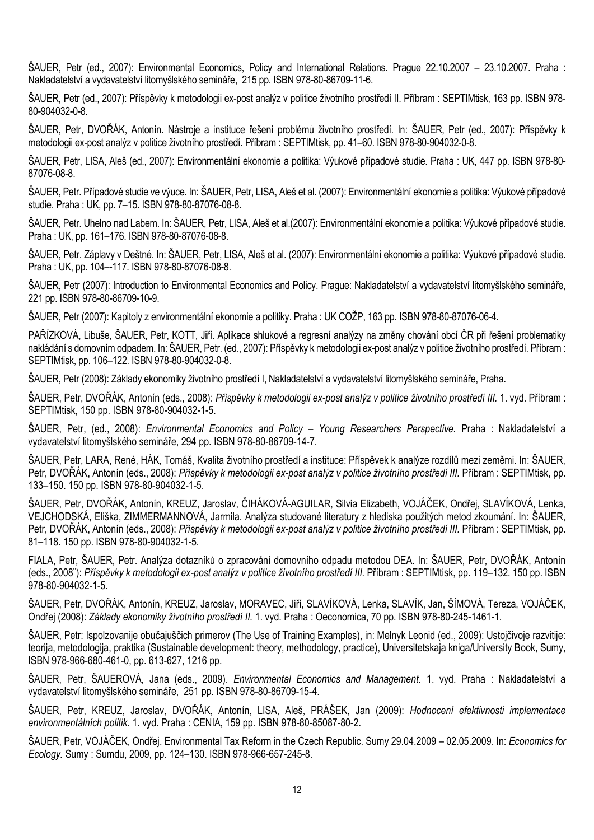ŠAUER, Petr (ed., 2007): Environmental Economics, Policy and International Relations. Prague 22.10.2007 – 23.10.2007. Praha : Nakladatelství a vydavatelství litomyšlského semináře, 215 pp. ISBN 978-80-86709-11-6.

ŠAUER, Petr (ed., 2007): Příspěvky k metodologii ex-post analýz v politice životního prostředí II. Příbram : SEPTIMtisk, 163 pp. ISBN 978- 80-904032-0-8.

ŠAUER, Petr, DVOŘÁK, Antonín. Nástroje a instituce řešení problémů životního prostředí. In: ŠAUER, Petr (ed., 2007): Příspěvky k metodologii ex-post analýz v politice životního prostředí. Příbram : SEPTIMtisk, pp. 41–60. ISBN 978-80-904032-0-8.

ŠAUER, Petr, LISA, Aleš (ed., 2007): Environmentální ekonomie a politika: Výukové případové studie. Praha : UK, 447 pp. ISBN 978-80- 87076-08-8.

ŠAUER, Petr. Případové studie ve výuce. In: ŠAUER, Petr, LISA, Aleš et al. (2007): Environmentální ekonomie a politika: Výukové případové studie. Praha : UK, pp. 7–15. ISBN 978-80-87076-08-8.

ŠAUER, Petr. Uhelno nad Labem. In: ŠAUER, Petr, LISA, Aleš et al.(2007): Environmentální ekonomie a politika: Výukové případové studie. Praha : UK, pp. 161–176. ISBN 978-80-87076-08-8.

ŠAUER, Petr. Záplavy v Deštné. In: ŠAUER, Petr, LISA, Aleš et al. (2007): Environmentální ekonomie a politika: Výukové případové studie. Praha : UK, pp. 104–-117. ISBN 978-80-87076-08-8.

ŠAUER, Petr (2007): Introduction to Environmental Economics and Policy. Prague: Nakladatelství a vydavatelství litomyšlského semináře, 221 pp. ISBN 978-80-86709-10-9.

ŠAUER, Petr (2007): Kapitoly z environmentální ekonomie a politiky. Praha : UK COŽP, 163 pp. ISBN 978-80-87076-06-4.

PAŘÍZKOVÁ, Libuše, ŠAUER, Petr, KOTT, Jiří. Aplikace shlukové a regresní analýzy na změny chování obcí ČR při řešení problematiky nakládání s domovním odpadem. In: ŠAUER, Petr. (ed., 2007): Příspěvky k metodologii ex-post analýz v politice životního prostředí. Příbram: SEPTIMtisk, pp. 106–122. ISBN 978-80-904032-0-8.

ŠAUER, Petr (2008): Základy ekonomiky životního prostředí I, Nakladatelství a vydavatelství litomyšlského semináře, Praha.

ŠAUER, Petr, DVOŘÁK, Antonín (eds., 2008): *Příspěvky k metodologii ex-post analýz v politice životního prostředí III.* 1. vyd. Příbram : SEPTIMtisk, 150 pp. ISBN 978-80-904032-1-5.

ŠAUER, Petr, (ed., 2008): *Environmental Economics and Policy – Young Researchers Perspective.* Praha : Nakladatelství a vydavatelství litomyšlského semináře, 294 pp. ISBN 978-80-86709-14-7.

ŠAUER, Petr, LARA, René, HÁK, Tomáš, Kvalita životního prostředí a instituce: Příspěvek k analýze rozdílů mezi zeměmi. In: ŠAUER, Petr, DVOŘÁK, Antonín (eds., 2008): *Příspěvky k metodologii ex-post analýz v politice životního prostředí III.* Příbram : SEPTIMtisk, pp. 133–150. 150 pp. ISBN 978-80-904032-1-5.

ŠAUER, Petr, DVOŘÁK, Antonín, KREUZ, Jaroslav, ČIHÁKOVÁ-AGUILAR, Silvia Elizabeth, VOJÁČEK, Ondřej, SLAVÍKOVÁ, Lenka, VEJCHODSKÁ, Eliška, ZIMMERMANNOVÁ, Jarmila. Analýza studované literatury z hlediska použitých metod zkoumání. In: ŠAUER, Petr, DVOŘÁK, Antonín (eds., 2008): *Příspěvky k metodologii ex-post analýz v politice životního prostředí III.* Příbram : SEPTIMtisk, pp. 81–118. 150 pp. ISBN 978-80-904032-1-5.

FIALA, Petr, ŠAUER, Petr. Analýza dotazníků o zpracování domovního odpadu metodou DEA. In: ŠAUER, Petr, DVOŘÁK, Antonín (eds., 2008¨): *Příspěvky k metodologii ex-post analýz v politice životního prostředí III.* Příbram : SEPTIMtisk, pp. 119–132. 150 pp. ISBN 978-80-904032-1-5.

ŠAUER, Petr, DVOŘÁK, Antonín, KREUZ, Jaroslav, MORAVEC, Jiří, SLAVÍKOVÁ, Lenka, SLAVÍK, Jan, ŠÍMOVÁ, Tereza, VOJÁČEK, Ondřej (2008): *Základy ekonomiky životního prostředí II.* 1. vyd. Praha : Oeconomica, 70 pp. ISBN 978-80-245-1461-1.

ŠAUER, Petr: Ispolzovanije obučajuščich primerov (The Use of Training Examples), in: Melnyk Leonid (ed., 2009): Ustojčivoje razvitije: teorija, metodologija, praktika (Sustainable development: theory, methodology, practice), Universitetskaja kniga/University Book, Sumy, ISBN 978-966-680-461-0, pp. 613-627, 1216 pp.

ŠAUER, Petr, ŠAUEROVÁ, Jana (eds., 2009). *Environmental Economics and Management.* 1. vyd. Praha : Nakladatelství a vydavatelství litomyšlského semináře, 251 pp. ISBN 978-80-86709-15-4.

ŠAUER, Petr, KREUZ, Jaroslav, DVOŘÁK, Antonín, LISA, Aleš, PRÁŠEK, Jan (2009): *Hodnocení efektivnosti implementace environmentálních politik.* 1. vyd. Praha : CENIA, 159 pp. ISBN 978-80-85087-80-2.

ŠAUER, Petr, VOJÁČEK, Ondřej. Environmental Tax Reform in the Czech Republic. Sumy 29.04.2009 – 02.05.2009. In: *Economics for Ecology.* Sumy : Sumdu, 2009, pp. 124–130. ISBN 978-966-657-245-8.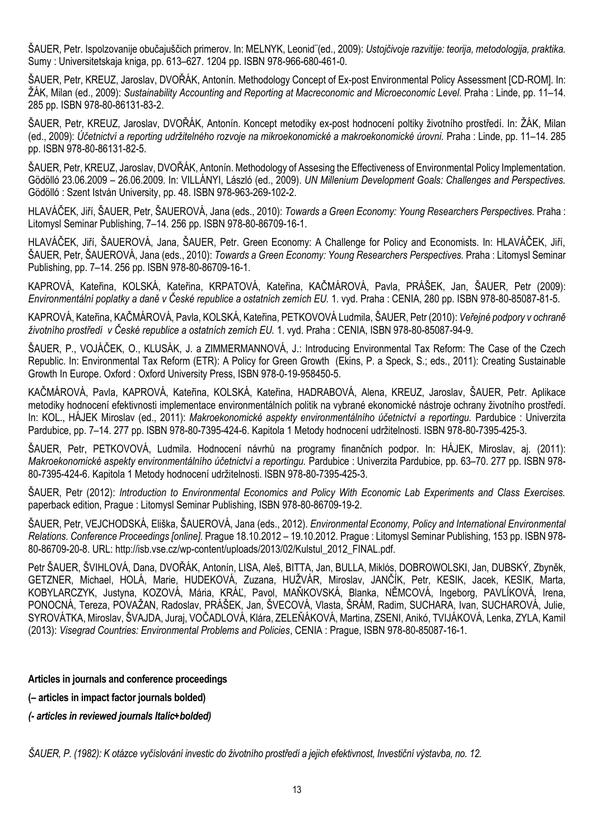ŠAUER, Petr. Ispolzovanije obučajuščich primerov. In: MELNYK, Leonid¨(ed., 2009): *Ustojčivoje razvitije: teorija, metodologija, praktika.* Sumy : Universitetskaja kniga, pp. 613–627. 1204 pp. ISBN 978-966-680-461-0.

ŠAUER, Petr, KREUZ, Jaroslav, DVOŘÁK, Antonín. Methodology Concept of Ex-post Environmental Policy Assessment [CD-ROM]. In: ŽÁK, Milan (ed., 2009): *Sustainability Accounting and Reporting at Macreconomic and Microeconomic Level.* Praha : Linde, pp. 11–14. 285 pp. ISBN 978-80-86131-83-2.

ŠAUER, Petr, KREUZ, Jaroslav, DVOŘÁK, Antonín. Koncept metodiky ex-post hodnocení poltiky životního prostředí. In: ŽÁK, Milan (ed., 2009): *Účetnictví a reporting udržitelného rozvoje na mikroekonomické a makroekonomické úrovni.* Praha : Linde, pp. 11–14. 285 pp. ISBN 978-80-86131-82-5.

ŠAUER, Petr, KREUZ, Jaroslav, DVOŘÁK, Antonín. Methodology of Assesing the Effectiveness of Environmental Policy Implementation. Gödölló 23.06.2009 – 26.06.2009. In: VILLÁNYI, László (ed., 2009). *UN Millenium Development Goals: Challenges and Perspectives.* Gödölló : Szent István University, pp. 48. ISBN 978-963-269-102-2.

HLAVÁČEK, Jiří, ŠAUER, Petr, ŠAUEROVÁ, Jana (eds., 2010): *Towards a Green Economy: Young Researchers Perspectives.* Praha : Litomysl Seminar Publishing, 7–14. 256 pp. ISBN 978-80-86709-16-1.

HLAVÁČEK, Jiří, ŠAUEROVÁ, Jana, [ŠAUER](http://eso.vse.cz/~sklenak/pcvse/pcvse-sfx.php?krestni=Petr&prijmeni=%8AAUER&katedra=KZP), Petr. Green Economy: A Challenge for Policy and Economists. In: HLAVÁČEK, Jiří, ŠAUER, Petr, ŠAUEROVÁ, Jana (eds., 2010): *Towards a Green Economy: Young Researchers Perspectives.* Praha : Litomysl Seminar Publishing, pp. 7–14. 256 pp. ISBN 978-80-86709-16-1.

KAPROVÁ, Kateřina, KOLSKÁ, Kateřina, KRPATOVÁ, Kateřina, KAČMÁROVÁ, Pavla, PRÁŠEK, Jan, [ŠAUER](http://eso.vse.cz/~sklenak/pcvse/pcvse-sfx.php?krestni=Petr&prijmeni=%8AAUER&katedra=KZP), Petr (2009): *Environmentální poplatky a daně v České republice a ostatních zemích EU.* 1. vyd. Praha : CENIA, 280 pp. ISBN 978-80-85087-81-5.

KAPROVÁ, Kateřina, KAČMÁROVÁ, Pavla, KOLSKÁ, Kateřina, PETKOVOVÁ Ludmila, [ŠAUER](http://eso.vse.cz/~sklenak/pcvse/pcvse-sfx.php?krestni=Petr&prijmeni=%8AAUER&katedra=KZP), Petr (2010): *Veřejné podpory v ochraně životního prostředí v České republice a ostatních zemích EU.* 1. vyd. Praha : CENIA, ISBN 978-80-85087-94-9.

ŠAUER, P., VOJÁČEK, O., KLUSÁK, J. a ZIMMERMANNOVÁ, J.: Introducing Environmental Tax Reform: The Case of the Czech Republic. In: Environmental Tax Reform (ETR): A Policy for Green Growth (Ekins, P. a Speck, S.; eds., 2011): [Creating Sustainable](http://ukcatalogue.oup.com/category/academic/series/economics/csge.do)  [Growth In Europe.](http://ukcatalogue.oup.com/category/academic/series/economics/csge.do) Oxford : Oxford University Press, ISBN 978-0-19-958450-5.

KAČMÁROVÁ, Pavla, KAPROVÁ, Kateřina, KOLSKÁ, Kateřina, [HADRABOVÁ](http://eso.vse.cz/~sklenak/pcvse/pcvse-sfx.php?krestni=Alena&prijmeni=HADRABOV%C1&katedra=KPOL), Alena, [KREUZ, Jaroslav,](http://eso.vse.cz/~sklenak/pcvse/pcvse-sfx.php?krestni=Jaroslav&prijmeni=KREUZ&katedra=KZP) [ŠAUER](http://eso.vse.cz/~sklenak/pcvse/pcvse-sfx.php?krestni=Petr&prijmeni=%8AAUER&katedra=KPOL), Petr. Aplikace metodiky hodnocení efektivnosti implementace environmentálních politik na vybrané ekonomické nástroje ochrany životního prostředí. In: KOL., HÁJEK Miroslav (ed., 2011): *Makroekonomické aspekty environmentálního účetnictví a reportingu.* Pardubice : Univerzita Pardubice, pp. 7–14. 277 pp. ISBN 978-80-7395-424-6. Kapitola 1 Metody hodnocení udržitelnosti. ISBN 978-80-7395-425-3.

ŠAUE[R, Petr,](http://eso.vse.cz/~sklenak/pcvse/pcvse-sfx.php?krestni=Petr&prijmeni=%8AAUER&katedra=KPOL) [PETKOVOVÁ, Ludmila.](http://eso.vse.cz/~sklenak/pcvse/pcvse-sfx.php?krestni=Ludmila&prijmeni=PETKOVOV%C1&katedra=KEST) Hodnocení návrhů na programy finančních podpor. In: HÁJEK, Miroslav, aj. (2011): *Makroekonomické aspekty environmentálního účetnictví a reportingu.* Pardubice : Univerzita Pardubice, pp. 63–70. 277 pp. ISBN 978- 80-7395-424-6. Kapitola 1 Metody hodnocení udržitelnosti. ISBN 978-80-7395-425-3.

[ŠAUER](http://eso.vse.cz/~sklenak/pcvse/pcvse-sfx.php?krestni=Petr&prijmeni=%8AAUER&katedra=KPOL), Petr (2012): *Introduction to Environmental Economics and Policy With Economic Lab Experiments and Class Exercises.* paperback edition, Prague : Litomysl Seminar Publishing, ISBN 978-80-86709-19-2.

[ŠAUER](http://eso.vse.cz/~sklenak/pcvse/pcvse-sfx.php?krestni=Petr&prijmeni=%8AAUER&katedra=KPOL), Petr, [VEJCHODSKÁ, Eliška](http://eso.vse.cz/~sklenak/pcvse/pcvse-sfx.php?krestni=Eli%9Aka&prijmeni=VEJCHODSK%C1&katedra=KZP), ŠAUEROVÁ, Jana (eds., 2012). *Environmental Economy, Policy and International Environmental Relations. Conference Proceedings [online].* Prague 18.10.2012 – 19.10.2012. Prague : Litomysl Seminar Publishing, 153 pp. ISBN 978- 80-86709-20-8. URL[: http://isb.vse.cz/wp-content/uploads/2013/02/Kulstul\\_2012\\_FINAL.pdf.](http://isb.vse.cz/wp-content/uploads/2013/02/Kulstul_2012_FINAL.pdf)

Petr ŠAUER, ŠVIHLOVÁ, Dana, [DVOŘÁK, Antonín](http://eso.vse.cz/~sklenak/pcvse/pcvse-sfx.php?krestni=Anton%EDn&prijmeni=DVO%D8%C1K&katedra=KPOL), [LISA, Aleš,](http://eso.vse.cz/~sklenak/pcvse/pcvse-sfx.php?krestni=Ale%9A&prijmeni=LISA&katedra=KPOL) BITTA, Jan, BULLA, Miklós, DOBROWOLSKI, Jan, [DUBSKÝ, Zbyněk](http://eso.vse.cz/~sklenak/pcvse/pcvse-sfx.php?krestni=Zbyn%ECk&prijmeni=DUBSK%DD&katedra=SMSJM), GETZNER, Michael, HOLÁ, Marie, HUDEKOVÁ, Zuzana, HUŽVÁR, Miroslav, JANČÍK, Petr, KESIK, Jacek, KESIK, Marta, KOBYLARCZYK, Justyna, KOZOVÁ, Mária, KRÁĽ, Pavol, MAŇKOVSKÁ, Blanka, [NĚMCOVÁ](http://eso.vse.cz/~sklenak/pcvse/pcvse-sfx.php?krestni=Ingeborg&prijmeni=N%CCMCOV%C1&katedra=KSE), Ingeborg, PAVLÍKOVÁ, Irena, PONOCNÁ, Tereza, POVAŽAN, Radoslav, PRÁŠEK, Jan, ŠVECOVÁ, Vlasta, ŠRÁM, Radim, SUCHARA, Ivan, SUCHAROVÁ, Julie, SYROVÁTKA, Miroslav, ŠVAJDA, Juraj, VOČADLOVÁ, Klára, ZELEŇÁKOVÁ, Martina, ZSENI, Anikó, TVIJÁKOVÁ, Lenka, ZYLA, Kamil (2013): *Visegrad Countries: Environmental Problems and Policies*, CENIA : Prague, ISBN 978-80-85087-16-1.

#### **Articles in journals and conference proceedings**

**(– articles in impact factor journals bolded)**

*(- articles in reviewed journals Italic+bolded)*

*ŠAUER, P. (1982): K otázce vyčíslování investic do životního prostředí a jejich efektivnost, Investiční výstavba, no. 12.*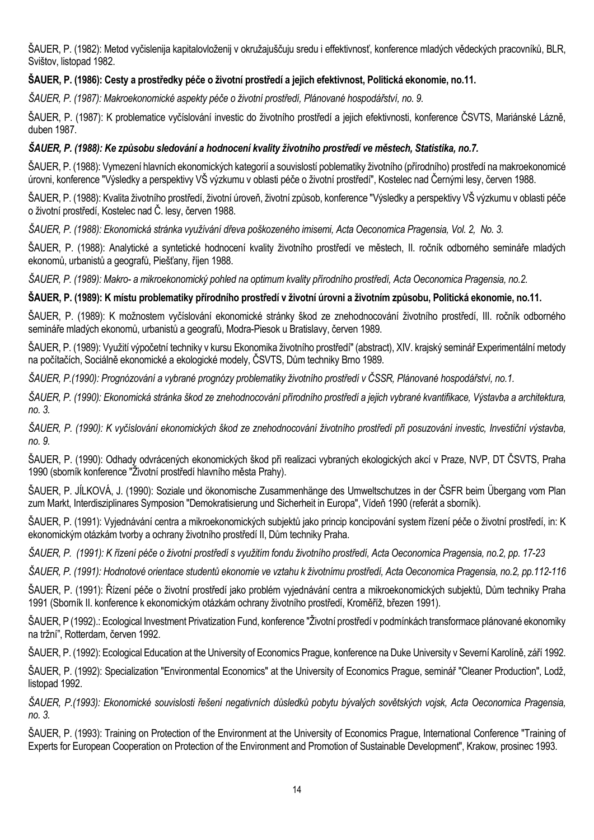ŠAUER, P. (1982): Metod vyčislenija kapitalovloženij v okružajuščuju sredu i effektivnosť, konference mladých vědeckých pracovníků, BLR, Svištov, listopad 1982.

### **ŠAUER, P. (1986): Cesty a prostředky péče o životní prostředí a jejich efektivnost, Politická ekonomie, no.11.**

*ŠAUER, P. (1987): Makroekonomické aspekty péče o životní prostředí, Plánované hospodářství, no. 9.*

ŠAUER, P. (1987): K problematice vyčíslování investic do životního prostředí a jejich efektivnosti, konference ČSVTS, Mariánské Lázně, duben 1987.

### *ŠAUER, P. (1988): Ke způsobu sledování a hodnocení kvality životního prostředí ve městech, Statistika, no.7.*

ŠAUER, P. (1988): Vymezení hlavních ekonomických kategorií a souvislostí poblematiky životního (přírodního) prostředí na makroekonomicé úrovni, konference "Výsledky a perspektivy VŠ výzkumu v oblasti péče o životní prostředí", Kostelec nad Černými lesy, červen 1988.

ŠAUER, P. (1988): Kvalita životního prostředí, životní úroveň, životní způsob, konference "Výsledky a perspektivy VŠ výzkumu v oblasti péče o životní prostředí, Kostelec nad Č. lesy, červen 1988.

*ŠAUER, P. (1988): Ekonomická stránka využívání dřeva poškozeného imisemi, Acta Oeconomica Pragensia, Vol. 2, No. 3.*

ŠAUER, P. (1988): Analytické a syntetické hodnocení kvality životního prostředí ve městech, II. ročník odborného semináře mladých ekonomů, urbanistů a geografů, Piešťany, říjen 1988.

*ŠAUER, P. (1989): Makro- a mikroekonomický pohled na optimum kvality přírodního prostředí, Acta Oeconomica Pragensia, no.2.*

### **ŠAUER, P. (1989): K místu problematiky přírodního prostředí v životní úrovni a životním způsobu, Politická ekonomie, no.11.**

ŠAUER, P. (1989): K možnostem vyčíslování ekonomické stránky škod ze znehodnocování životního prostředí, III. ročník odborného semináře mladých ekonomů, urbanistů a geografů, Modra-Piesok u Bratislavy, červen 1989.

ŠAUER, P. (1989): Využití výpočetní techniky v kursu Ekonomika životního prostředí" (abstract), XIV. krajský seminář Experimentální metody na počítačích, Sociálně ekonomické a ekologické modely, ČSVTS, Dům techniky Brno 1989.

*ŠAUER, P.(1990): Prognózování a vybrané prognózy problematiky životního prostředí v ČSSR, Plánované hospodářství, no.1.*

*ŠAUER, P. (1990): Ekonomická stránka škod ze znehodnocování přírodního prostředí a jejich vybrané kvantifikace, Výstavba a architektura, no. 3.*

*ŠAUER, P. (1990): K vyčíslování ekonomických škod ze znehodnocování životního prostředí při posuzování investic, Investiční výstavba, no. 9.*

ŠAUER, P. (1990): Odhady odvrácených ekonomických škod při realizaci vybraných ekologických akcí v Praze, NVP, DT ČSVTS, Praha 1990 (sborník konference "Životní prostředí hlavního města Prahy).

ŠAUER, P. JÍLKOVÁ, J. (1990): Soziale und ökonomische Zusammenhänge des Umweltschutzes in der ČSFR beim Übergang vom Plan zum Markt, Interdisziplinares Symposion "Demokratisierung und Sicherheit in Europa", Vídeň 1990 (referát a sborník).

ŠAUER, P. (1991): Vyjednávání centra a mikroekonomických subjektů jako princip koncipování system řízení péče o životní prostředí, in: K ekonomickým otázkám tvorby a ochrany životního prostředí II, Dům techniky Praha.

*ŠAUER, P. (1991): K řízení péče o životní prostředí s využitím fondu životního prostředí, Acta Oeconomica Pragensia, no.2, pp. 17-23*

*ŠAUER, P. (1991): Hodnotové orientace studentů ekonomie ve vztahu k životnímu prostředí, Acta Oeconomica Pragensia, no.2, pp.112-116*

ŠAUER, P. (1991): Řízení péče o životní prostředí jako problém vyjednávání centra a mikroekonomických subjektů, Dům techniky Praha 1991 (Sborník II. konference k ekonomickým otázkám ochrany životního prostředí, Kroměříž, březen 1991).

ŠAUER, P (1992).: Ecological Investment Privatization Fund, konference "Životní prostředí v podmínkách transformace plánované ekonomiky na tržní", Rotterdam, červen 1992.

ŠAUER, P. (1992): Ecological Education at the University of Economics Prague, konference na Duke University v Severní Karolíně, září 1992.

ŠAUER, P. (1992): Specialization "Environmental Economics" at the University of Economics Prague, seminář "Cleaner Production", Lodž, listopad 1992.

*ŠAUER, P.(1993): Ekonomické souvislosti řešení negativních důsledků pobytu bývalých sovětských vojsk, Acta Oeconomica Pragensia, no. 3.*

ŠAUER, P. (1993): Training on Protection of the Environment at the University of Economics Prague, International Conference "Training of Experts for European Cooperation on Protection of the Environment and Promotion of Sustainable Development", Krakow, prosinec 1993.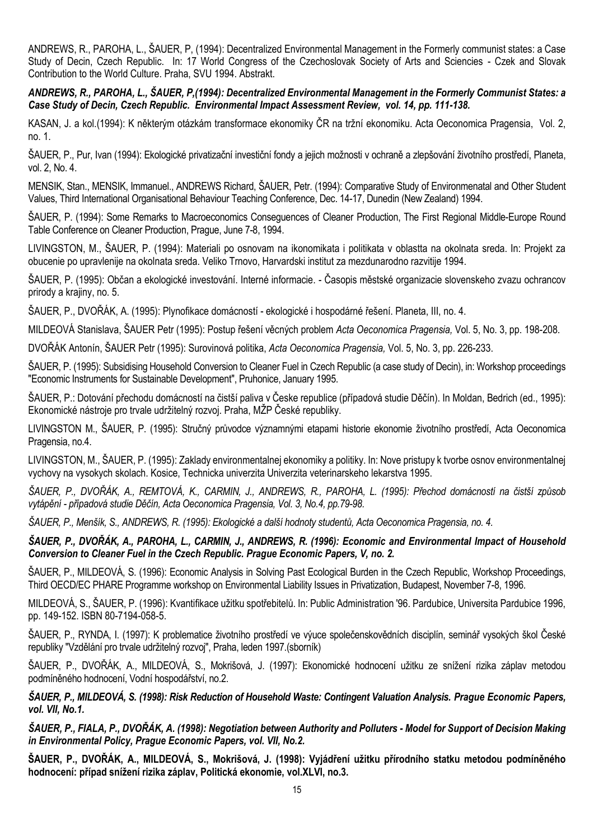ANDREWS, R., PAROHA, L., ŠAUER, P, (1994): Decentralized Environmental Management in the Formerly communist states: a Case Study of Decin, Czech Republic. In: 17 World Congress of the Czechoslovak Society of Arts and Sciencies - Czek and Slovak Contribution to the World Culture. Praha, SVU 1994. Abstrakt.

*ANDREWS, R., PAROHA, L., ŠAUER, P,(1994): Decentralized Environmental Management in the Formerly Communist States: a Case Study of Decin, Czech Republic. Environmental Impact Assessment Review, vol. 14, pp. 111-138.*

KASAN, J. a kol.(1994): K některým otázkám transformace ekonomiky ČR na tržní ekonomiku. Acta Oeconomica Pragensia, Vol. 2, no. 1.

ŠAUER, P., Pur, Ivan (1994): Ekologické privatizační investiční fondy a jejich možnosti v ochraně a zlepšování životního prostředí, Planeta, vol. 2, No. 4.

MENSIK, Stan., MENSIK, Immanuel., ANDREWS Richard, ŠAUER, Petr. (1994): Comparative Study of Environmenatal and Other Student Values, Third International Organisational Behaviour Teaching Conference, Dec. 14-17, Dunedin (New Zealand) 1994.

ŠAUER, P. (1994): Some Remarks to Macroeconomics Conseguences of Cleaner Production, The First Regional Middle-Europe Round Table Conference on Cleaner Production, Prague, June 7-8, 1994.

LIVINGSTON, M., ŠAUER, P. (1994): Materiali po osnovam na ikonomikata i politikata v oblastta na okolnata sreda. In: Projekt za obucenie po upravlenije na okolnata sreda. Veliko Trnovo, Harvardski institut za mezdunarodno razvitije 1994.

ŠAUER, P. (1995): Občan a ekologické investování. Interné informacie. - Časopis městské organizacie slovenskeho zvazu ochrancov prirody a krajiny, no. 5.

ŠAUER, P., DVOŘÁK, A. (1995): Plynofikace domácností - ekologické i hospodárné řešení. Planeta, III, no. 4.

MILDEOVÁ Stanislava, ŠAUER Petr (1995): Postup řešení věcných problem *Acta Oeconomica Pragensia,* Vol. 5, No. 3, pp. 198-208.

DVOŘÁK Antonín, ŠAUER Petr (1995): Surovinová politika, *Acta Oeconomica Pragensia,* Vol. 5, No. 3, pp. 226-233.

ŠAUER, P. (1995): Subsidising Household Conversion to Cleaner Fuel in Czech Republic (a case study of Decin), in: Workshop proceedings "Economic Instruments for Sustainable Development", Pruhonice, January 1995.

ŠAUER, P.: Dotování přechodu domácností na čistší paliva v Česke republice (případová studie Děčín). In Moldan, Bedrich (ed., 1995): Ekonomické nástroje pro trvale udržitelný rozvoj. Praha, MŽP České republiky.

LIVINGSTON M., ŠAUER, P. (1995): Stručný průvodce významnými etapami historie ekonomie životního prostředí, Acta Oeconomica Pragensia, no.4.

LIVINGSTON, M., ŠAUER, P. (1995): Zaklady environmentalnej ekonomiky a politiky. In: Nove pristupy k tvorbe osnov environmentalnej vychovy na vysokych skolach. Kosice, Technicka univerzita Univerzita veterinarskeho lekarstva 1995.

*ŠAUER, P., DVOŘÁK, A., REMTOVÁ, K., CARMIN, J., ANDREWS, R., PAROHA, L. (1995): Přechod domácností na čistší způsob vytápění - případová studie Děčín, Acta Oeconomica Pragensia, Vol. 3, No.4, pp.79-98.*

*ŠAUER, P., Menšík, S., ANDREWS, R. (1995): Ekologické a další hodnoty studentů, Acta Oeconomica Pragensia, no. 4.*

*ŠAUER, P., DVOŘÁK, A., PAROHA, L., CARMIN, J., ANDREWS, R. (1996): Economic and Environmental Impact of Household Conversion to Cleaner Fuel in the Czech Republic. Prague Economic Papers, V, no. 2.*

ŠAUER, P., MILDEOVÁ, S. (1996): Economic Analysis in Solving Past Ecological Burden in the Czech Republic, Workshop Proceedings, Third OECD/EC PHARE Programme workshop on Environmental Liability Issues in Privatization, Budapest, November 7-8, 1996.

MILDEOVÁ, S., ŠAUER, P. (1996): Kvantifikace užitku spotřebitelů. In: Public Administration '96. Pardubice, Universita Pardubice 1996, pp. 149-152. ISBN 80-7194-058-5.

ŠAUER, P., RYNDA, I. (1997): K problematice životního prostředí ve výuce společenskovědních disciplín, seminář vysokých škol České republiky "Vzdělání pro trvale udržitelný rozvoj", Praha, leden 1997.(sborník)

ŠAUER, P., DVOŘÁK, A., MILDEOVÁ, S., Mokrišová, J. (1997): Ekonomické hodnocení užitku ze snížení rizika záplav metodou podmíněného hodnocení, Vodní hospodářství, no.2.

*ŠAUER, P., MILDEOVÁ, S. (1998): Risk Reduction of Household Waste: Contingent Valuation Analysis. Prague Economic Papers, vol. VII, No.1.*

*ŠAUER, P., FIALA, P., DVOŘÁK, A. (1998): Negotiation between Authority and Polluters - Model for Support of Decision Making in Environmental Policy, Prague Economic Papers, vol. VII, No.2.*

**ŠAUER, P., DVOŘÁK, A., MILDEOVÁ, S., Mokrišová, J. (1998): Vyjádření užitku přírodního statku metodou podmíněného hodnocení: případ snížení rizika záplav, Politická ekonomie, vol.XLVI, no.3.**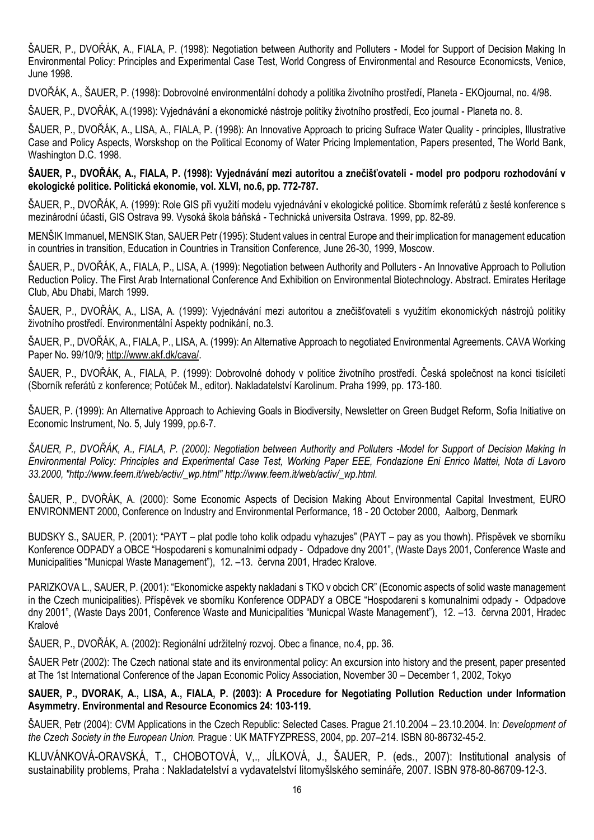ŠAUER, P., DVOŘÁK, A., FIALA, P. (1998): Negotiation between Authority and Polluters - Model for Support of Decision Making In Environmental Policy: Principles and Experimental Case Test, World Congress of Environmental and Resource Economicsts, Venice, June 1998.

DVOŘÁK, A., ŠAUER, P. (1998): Dobrovolné environmentální dohody a politika životního prostředí, Planeta - EKOjournal, no. 4/98.

ŠAUER, P., DVOŘÁK, A.(1998): Vyjednávání a ekonomické nástroje politiky životního prostředí, Eco journal - Planeta no. 8.

ŠAUER, P., DVOŘÁK, A., LISA, A., FIALA, P. (1998): An Innovative Approach to pricing Sufrace Water Quality - principles, Illustrative Case and Policy Aspects, Worskshop on the Political Economy of Water Pricing Implementation, Papers presented, The World Bank, Washington D.C. 1998.

**ŠAUER, P., DVOŘÁK, A., FIALA, P. (1998): Vyjednávání mezi autoritou a znečišťovateli - model pro podporu rozhodování v ekologické politice. Politická ekonomie, vol. XLVI, no.6, pp. 772-787.**

ŠAUER, P., DVOŘÁK, A. (1999): Role GIS při využití modelu vyjednávání v ekologické politice. Sbornímk referátů z šesté konference s mezinárodní účastí, GIS Ostrava 99. Vysoká škola báňská - Technická universita Ostrava. 1999, pp. 82-89.

MENŠIK Immanuel, MENSIK Stan, SAUER Petr (1995): Student values in central Europe and their implication for management education in countries in transition, Education in Countries in Transition Conference, June 26-30, 1999, Moscow.

ŠAUER, P., DVOŘÁK, A., FIALA, P., LISA, A. (1999): Negotiation between Authority and Polluters - An Innovative Approach to Pollution Reduction Policy. The First Arab International Conference And Exhibition on Environmental Biotechnology. Abstract. Emirates Heritage Club, Abu Dhabi, March 1999.

ŠAUER, P., DVOŘÁK, A., LISA, A. (1999): Vyjednávání mezi autoritou a znečišťovateli s využitím ekonomických nástrojů politiky životního prostředí. Environmentální Aspekty podnikání, no.3.

ŠAUER, P., DVOŘÁK, A., FIALA, P., LISA, A. (1999): An Alternative Approach to negotiated Environmental Agreements. CAVA Working Paper No. 99/10/9[; http://www.akf.dk/cava/.](http://www.akf.dk/cava/)

ŠAUER, P., DVOŘÁK, A., FIALA, P. (1999): Dobrovolné dohody v politice životního prostředí. Česká společnost na konci tisíciletí (Sborník referátů z konference; Potůček M., editor). Nakladatelství Karolinum. Praha 1999, pp. 173-180.

ŠAUER, P. (1999): An Alternative Approach to Achieving Goals in Biodiversity, Newsletter on Green Budget Reform, Sofia Initiative on Economic Instrument, No. 5, July 1999, pp.6-7.

*ŠAUER, P., DVOŘÁK, A., FIALA, P. (2000): Negotiation between Authority and Polluters -Model for Support of Decision Making In Environmental Policy: Principles and Experimental Case Test, Working Paper EEE, Fondazione Eni Enrico Mattei, Nota di Lavoro 33.2000, "http://www.feem.it/web/activ/\_wp.html" http://www.feem.it/web/activ/\_wp.html.*

ŠAUER, P., DVOŘÁK, A. (2000): Some Economic Aspects of Decision Making About Environmental Capital Investment, EURO ENVIRONMENT 2000, Conference on Industry and Environmental Performance, 18 - 20 October 2000, Aalborg, Denmark

BUDSKY S., SAUER, P. (2001): "PAYT – plat podle toho kolik odpadu vyhazujes" (PAYT – pay as you thowh). Příspěvek ve sborníku Konference ODPADY a OBCE "Hospodareni s komunalnimi odpady - Odpadove dny 2001", (Waste Days 2001, Conference Waste and Municipalities "Municpal Waste Management"), 12. –13. června 2001, Hradec Kralove.

PARIZKOVA L., SAUER, P. (2001): "Ekonomicke aspekty nakladani s TKO v obcich CR" (Economic aspects of solid waste management in the Czech municipalities). Příspěvek ve sborníku Konference ODPADY a OBCE "Hospodareni s komunalnimi odpady - Odpadove dny 2001", (Waste Days 2001, Conference Waste and Municipalities "Municpal Waste Management"), 12. –13. června 2001, Hradec Kralové

ŠAUER, P., DVOŘÁK, A. (2002): Regionální udržitelný rozvoj. Obec a finance, no.4, pp. 36.

ŠAUER Petr (2002): The Czech national state and its environmental policy: An excursion into history and the present, paper presented at The 1st International Conference of the Japan Economic Policy Association, November 30 – December 1, 2002, Tokyo

**SAUER, P., DVORAK, A., LISA, A., FIALA, P. (2003): A Procedure for Negotiating Pollution Reduction under Information Asymmetry. Environmental and Resource Economics 24: 103-119.**

ŠAUER, Petr (2004): CVM Applications in the Czech Republic: Selected Cases. Prague 21.10.2004 – 23.10.2004. In: *Development of the Czech Society in the European Union.* Prague : UK MATFYZPRESS, 2004, pp. 207–214. ISBN 80-86732-45-2.

KLUVÁNKOVÁ-ORAVSKÁ, T., CHOBOTOVÁ, V,., JÍLKOVÁ, J., ŠAUER, P. (eds., 2007): Institutional analysis of sustainability problems, Praha : Nakladatelství a vydavatelství litomyšlského semináře, 2007. ISBN 978-80-86709-12-3.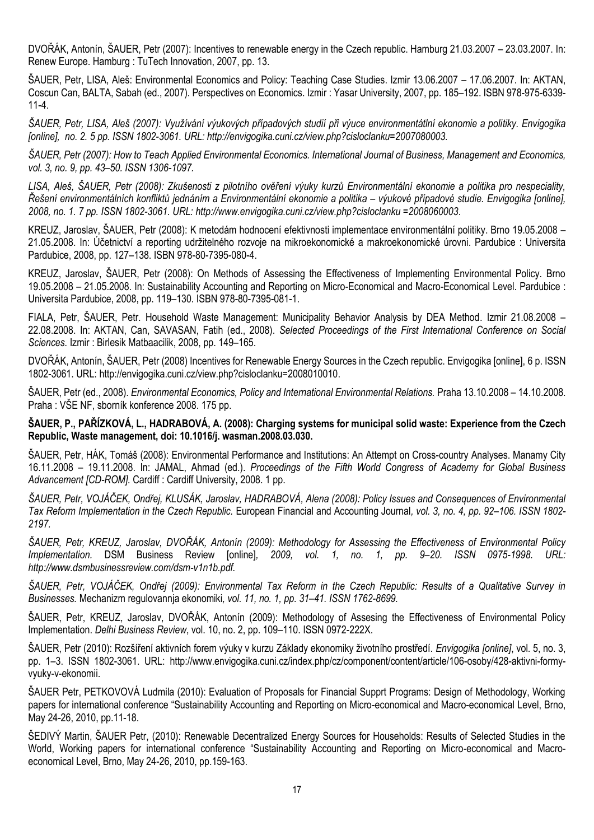DVOŘÁK, Antonín, ŠAUER, Petr (2007): Incentives to renewable energy in the Czech republic. Hamburg 21.03.2007 – 23.03.2007. In: Renew Europe. Hamburg : TuTech Innovation, 2007, pp. 13.

ŠAUER, Petr, LISA, Aleš: Environmental Economics and Policy: Teaching Case Studies. Izmir 13.06.2007 – 17.06.2007. In: AKTAN, Coscun Can, BALTA, Sabah (ed., 2007). Perspectives on Economics. Izmir : Yasar University, 2007, pp. 185–192. ISBN 978-975-6339- 11-4.

*ŠAUER, Petr, LISA, Aleš (2007): Využívání výukových případových studií při výuce environmentátlní ekonomie a politiky. Envigogika [online], no. 2. 5 pp. ISSN 1802-3061. URL: http://envigogika.cuni.cz/view.php?cisloclanku=2007080003.*

*ŠAUER, Petr (2007): How to Teach Applied Environmental Economics. International Journal of Business, Management and Economics, vol. 3, no. 9, pp. 43–50. ISSN 1306-1097.*

*LISA[, Aleš](http://eso.vse.cz/~sklenak/pcvse/pcvse-sfx.php?krestni=Ale%9A&prijmeni=LISA&katedra=KPOL), [ŠAUER](http://eso.vse.cz/~sklenak/pcvse/pcvse-sfx.php?krestni=Petr&prijmeni=%8AAUER&katedra=KZP), Petr (2008): Zkušenosti z pilotního ověření výuky kurzů Environmentální ekonomie a politika pro nespeciality, Řešení environmentálních konfliktů jednáním a Environmentální ekonomie a politika – výukové případové studie. Envigogika [online], 2008, no. 1. 7 pp. ISSN 1802-3061. URL: [http://www.envigogika.cuni.cz/view.php?cisloclanku =2008060003](http://www.envigogika.cuni.cz/view.php?cisloclanku%20=2008060003)*.

[KREUZ, Jaroslav,](http://eso.vse.cz/~sklenak/pcvse/pcvse-sfx.php?krestni=Jaroslav&prijmeni=KREUZ&katedra=KZP) [ŠAUER](http://eso.vse.cz/~sklenak/pcvse/pcvse-sfx.php?krestni=Petr&prijmeni=%8AAUER&katedra=KZP), Petr (2008): K metodám hodnocení efektivnosti implementace environmentální politiky. Brno 19.05.2008 – 21.05.2008. In: Účetnictví a reporting udržitelného rozvoje na mikroekonomické a makroekonomické úrovni. Pardubice : Universita Pardubice, 2008, pp. 127–138. ISBN 978-80-7395-080-4.

[KREUZ, Jaroslav,](http://eso.vse.cz/~sklenak/pcvse/pcvse-sfx.php?krestni=Jaroslav&prijmeni=KREUZ&katedra=KZP) [ŠAUER](http://eso.vse.cz/~sklenak/pcvse/pcvse-sfx.php?krestni=Petr&prijmeni=%8AAUER&katedra=KZP), Petr (2008): On Methods of Assessing the Effectiveness of Implementing Environmental Policy. Brno 19.05.2008 – 21.05.2008. In: Sustainability Accounting and Reporting on Micro-Economical and Macro-Economical Level. Pardubice : Universita Pardubice, 2008, pp. 119–130. ISBN 978-80-7395-081-1.

FIALA, Petr, ŠAUER, Petr. Household Waste Management: Municipality Behavior Analysis by DEA Method. Izmir 21.08.2008 – 22.08.2008. In: AKTAN, Can, SAVASAN, Fatih (ed., 2008). *Selected Proceedings of the First International Conference on Social Sciences.* Izmir : Birlesik Matbaacilik, 2008, pp. 149–165.

[DVOŘÁK, Antonín](http://eso.vse.cz/~sklenak/pcvse/pcvse-sfx.php?krestni=Anton%EDn&prijmeni=DVO%D8%C1K&katedra=KZP), [ŠAUER](http://eso.vse.cz/~sklenak/pcvse/pcvse-sfx.php?krestni=Petr&prijmeni=%8AAUER&katedra=KZP), Petr (2008) Incentives for Renewable Energy Sources in the Czech republic. Envigogika [online], 6 p. ISSN 1802-3061. URL[: http://envigogika.cuni.cz/view.php?cisloclanku=2008010010.](http://envigogika.cuni.cz/view.php?cisloclanku=2008010010)

ŠAUER, Petr (ed., 2008). *Environmental Economics, Policy and International Environmental Relations.* Praha 13.10.2008 – 14.10.2008. Praha : VŠE NF, sborník konference 2008. 175 pp.

**ŠAUER, P., PAŘÍZKOVÁ, L., HADRABOVÁ, A. (2008): Charging systems for municipal solid waste: Experience from the Czech Republic, Waste management, doi: 10.1016/j. wasman.2008.03.030.**

ŠAUER, Petr, HÁK, Tomáš (2008): Environmental Performance and Institutions: An Attempt on Cross-country Analyses. Manamy City 16.11.2008 – 19.11.2008. In: JAMAL, Ahmad (ed.). *Proceedings of the Fifth World Congress of Academy for Global Business Advancement [CD-ROM].* Cardiff : Cardiff University, 2008. 1 pp.

*ŠAUER, Petr, VOJÁČEK, Ondřej, KLUSÁK, Jaroslav, HADRABOVÁ, Alena (2008): Policy Issues and Consequences of Environmental Tax Reform Implementation in the Czech Republic.* European Financial and Accounting Journal*, vol. 3, no. 4, pp. 92–106. ISSN 1802- 2197.* 

*ŠAUER, Petr, KREUZ, Jaroslav, DVOŘÁK, Antonín (2009): Methodology for Assessing the Effectiveness of Environmental Policy Implementation.* DSM Business Review [online]*, 2009, vol. 1, no. 1, pp. 9–20. ISSN 0975-1998. URL: http://www.dsmbusinessreview.com/dsm-v1n1b.pdf.* 

*ŠAUER, Petr, VOJÁČEK, Ondřej (2009): Environmental Tax Reform in the Czech Republic: Results of a Qualitative Survey in Businesses.* Mechanizm regulovannja ekonomiki*, vol. 11, no. 1, pp. 31–41. ISSN 1762-8699.* 

ŠAUER, Petr, KREUZ, Jaroslav, DVOŘÁK, Antonín (2009): Methodology of Assesing the Effectiveness of Environmental Policy Implementation. *Delhi Business Review*, vol. 10, no. 2, pp. 109–110. ISSN 0972-222X.

[ŠAUER](http://eso.vse.cz/~sklenak/pcvse/pcvse-sfx.php?krestni=Petr&prijmeni=%8AAUER&katedra=KPOL), Petr (2010): Rozšíření aktivních forem výuky v kurzu Základy ekonomiky životního prostředí. *Envigogika [online]*, vol. 5, no. 3, pp. 1–3. ISSN 1802-3061. URL: [http://www.envigogika.cuni.cz/index.php/cz/component/content/article/106-osoby/428-aktivni-formy](http://www.envigogika.cuni.cz/index.php/cz/component/content/article/106-osoby/428-aktivni-formy-vyuky-v-ekonomii)[vyuky-v-ekonomii.](http://www.envigogika.cuni.cz/index.php/cz/component/content/article/106-osoby/428-aktivni-formy-vyuky-v-ekonomii)

ŠAUER Petr, PETKOVOVÁ Ludmila (2010): Evaluation of Proposals for Financial Supprt Programs: Design of Methodology, Working papers for international conference "Sustainability Accounting and Reporting on Micro-economical and Macro-economical Level, Brno, May 24-26, 2010, pp.11-18.

ŠEDIVÝ Martin, ŠAUER Petr, (2010): Renewable Decentralized Energy Sources for Households: Results of Selected Studies in the World, Working papers for international conference "Sustainability Accounting and Reporting on Micro-economical and Macroeconomical Level, Brno, May 24-26, 2010, pp.159-163.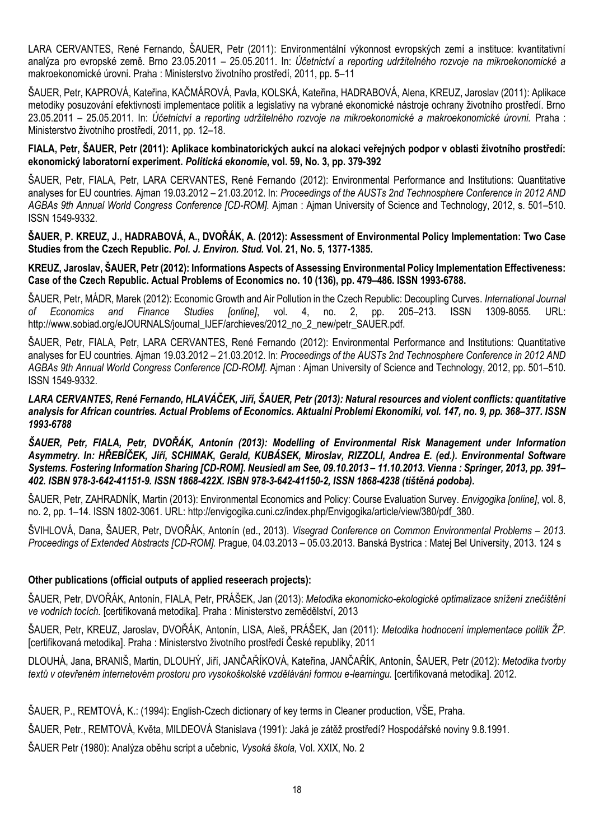LARA CERVANTES, René Fernando, [ŠAUER](http://eso.vse.cz/~sklenak/pcvse/pcvse-sfx.php?krestni=Petr&prijmeni=%8AAUER&katedra=KPOL), Petr (2011): Environmentální výkonnost evropských zemí a instituce: kvantitativní analýza pro evropské země. Brno 23.05.2011 – 25.05.2011. In: *Účetnictví a reporting udržitelného rozvoje na mikroekonomické a*  makroekonomické úrovni. Praha : Ministerstvo životního prostředí, 2011, pp. 5–11

[ŠAUER](http://eso.vse.cz/~sklenak/pcvse/pcvse-sfx.php?krestni=Petr&prijmeni=%8AAUER&katedra=KPOL), Petr, KAPROVÁ, Kateřina, KAČMÁROVÁ, Pavla, KOLSKÁ, Kateřina[, HADRABOVÁ](http://eso.vse.cz/~sklenak/pcvse/pcvse-sfx.php?krestni=Alena&prijmeni=HADRABOV%C1&katedra=KZP), Alena[, KREUZ, Jaroslav](http://eso.vse.cz/~sklenak/pcvse/pcvse-sfx.php?krestni=Jaroslav&prijmeni=KREUZ&katedra=KZP) (2011): Aplikace metodiky posuzování efektivnosti implementace politik a legislativy na vybrané ekonomické nástroje ochrany životního prostředí. Brno 23.05.2011 – 25.05.2011. In: *Účetnictví a reporting udržitelného rozvoje na mikroekonomické a makroekonomické úrovni.* Praha : Ministerstvo životního prostředí, 2011, pp. 12–18.

#### **FIALA, Petr, ŠAUER, Petr (2011): Aplikace kombinatorických aukcí na alokaci veřejných podpor v oblasti životního prostředí: ekonomický laboratorní experiment.** *Politická ekonomie***, vol. 59, No. 3, pp. 379-392**

[ŠAUER](http://eso.vse.cz/~sklenak/pcvse/pcvse-sfx.php?krestni=Petr&prijmeni=%8AAUER&katedra=KPOL), Petr, FIALA, Petr, LARA CERVANTES, René Fernando (2012): Environmental Performance and Institutions: Quantitative analyses for EU countries. Ajman 19.03.2012 – 21.03.2012. In: *Proceedings of the AUSTs 2nd Technosphere Conference in 2012 AND AGBAs 9th Annual World Congress Conference [CD-ROM].* Ajman : Ajman University of Science and Technology, 2012, s. 501–510. ISSN 1549-9332.

**ŠAUER, P. KREUZ, J., HADRABOVÁ, A., DVOŘÁK, A. (2012): Assessment of Environmental Policy Implementation: Two Case Studies from the Czech Republic.** *Pol. J. Environ. Stud.* **Vol. 21, No. 5, 1377-1385.**

#### **[KREUZ, Jaroslav,](http://eso.vse.cz/~sklenak/pcvse/pcvse-sfx.php?krestni=Jaroslav&prijmeni=KREUZ&katedra=VSIEE) [ŠAUER](http://eso.vse.cz/~sklenak/pcvse/pcvse-sfx.php?krestni=Petr&prijmeni=%8AAUER&katedra=KPOL), Petr (2012): Informations Aspects of Assessing Environmental Policy Implementation Effectiveness: Case of the Czech Republic. Actual Problems of Economics no. 10 (136), pp. 479–486. ISSN 1993-6788.**

[ŠAUER](http://eso.vse.cz/~sklenak/pcvse/pcvse-sfx.php?krestni=Petr&prijmeni=%8AAUER&katedra=KPOL), Petr, MÁDR, Marek (2012): Economic Growth and Air Pollution in the Czech Republic: Decoupling Curves. *International Journal of Economics and Finance Studies [online]*, vol. 4, no. 2, pp. 205–213. ISSN 1309-8055. URL: [http://www.sobiad.org/eJOURNALS/journal\\_IJEF/archieves/2012\\_no\\_2\\_new/petr\\_SAUER.pdf.](http://www.sobiad.org/eJOURNALS/journal_IJEF/archieves/2012_no_2_new/petr_sauer.pdf)

[ŠAUER](http://eso.vse.cz/~sklenak/pcvse/pcvse-sfx.php?krestni=Petr&prijmeni=%8AAUER&katedra=KPOL), Petr, [FIALA, Petr](http://eso.vse.cz/~sklenak/pcvse/pcvse-sfx.php?krestni=Petr&prijmeni=FIALA&katedra=KEKO), LARA CERVANTES, René Fernando (2012): Environmental Performance and Institutions: Quantitative analyses for EU countries. Ajman 19.03.2012 – 21.03.2012. In: *Proceedings of the AUSTs 2nd Technosphere Conference in 2012 AND AGBAs 9th Annual World Congress Conference [CD-ROM].* Ajman : Ajman University of Science and Technology, 2012, pp. 501–510. ISSN 1549-9332.

*[LARA CERVANTES, René Fernando](http://eso.vse.cz/~sklenak/pcvse/pcvse-sfx.php?krestni=Ren%E9+Fernando&prijmeni=LARA+CERVANTES&katedra=KPOL), [HLAVÁČEK, Jiří](http://eso.vse.cz/~sklenak/pcvse/pcvse-sfx.php?krestni=Ji%F8%ED&prijmeni=HLAV%C1%C8EK&katedra=KPOL), [ŠAUER](http://eso.vse.cz/~sklenak/pcvse/pcvse-sfx.php?krestni=Petr&prijmeni=%8AAUER&katedra=KPOL), Petr (2013): Natural resources and violent conflicts: quantitative analysis for African countries. Actual Problems of Economics. Aktualni Problemi Ekonomiki, vol. 147, no. 9, pp. 368–377. ISSN 1993-6788*

*[ŠAUER](http://eso.vse.cz/~sklenak/pcvse/pcvse-sfx.php?krestni=Petr&prijmeni=%8AAUER&katedra=KPOL), Petr, FIALA, Petr, [DVOŘÁK, Antonín](http://eso.vse.cz/~sklenak/pcvse/pcvse-sfx.php?krestni=Anton%EDn&prijmeni=DVO%D8%C1K&katedra=KPOL) (2013): Modelling of Environmental Risk Management under Information Asymmetry. In: HŘEBÍČEK, Jiří, SCHIMAK, Gerald, KUBÁSEK, Miroslav, RIZZOLI, Andrea E. (ed.). Environmental Software Systems. Fostering Information Sharing [CD-ROM]. Neusiedl am See, 09.10.2013 – 11.10.2013. Vienna : Springer, 2013, pp. 391– 402. ISBN 978-3-642-41151-9. ISSN 1868-422X. ISBN 978-3-642-41150-2, ISSN 1868-4238 (tištěná podoba).*

[ŠAUER](http://eso.vse.cz/~sklenak/pcvse/pcvse-sfx.php?krestni=Petr&prijmeni=%8AAUER&katedra=KPOL), Petr, ZAHRADNÍK, Martin (2013): Environmental Economics and Policy: Course Evaluation Survey. *Envigogika [online]*, vol. 8, no. 2, pp. 1–14. ISSN 1802-3061. URL: [http://envigogika.cuni.cz/index.php/Envigogika/article/view/380/pdf\\_380.](http://envigogika.cuni.cz/index.php/Envigogika/article/view/380/pdf_380)

ŠVIHLOVÁ, Dana, [ŠAUER](http://eso.vse.cz/~sklenak/pcvse/pcvse-sfx.php?krestni=Petr&prijmeni=%8AAUER&katedra=KPOL), Petr, [DVOŘÁK, Antonín](http://eso.vse.cz/~sklenak/pcvse/pcvse-sfx.php?krestni=Anton%EDn&prijmeni=DVO%D8%C1K&katedra=KPOL) (ed., 2013). Visegrad Conference on Common Environmental Problems - 2013. *Proceedings of Extended Abstracts [CD-ROM].* Prague, 04.03.2013 – 05.03.2013. Banská Bystrica : Matej Bel University, 2013. 124 s

### **Other publications (official outputs of applied reseerach projects):**

[ŠAUER](http://eso.vse.cz/~sklenak/pcvse/pcvse-sfx.php?krestni=Petr&prijmeni=%8AAUER&katedra=KPOL), Petr, [DVOŘÁK, Antonín](http://eso.vse.cz/~sklenak/pcvse/pcvse-sfx.php?krestni=Anton%EDn&prijmeni=DVO%D8%C1K&katedra=KPOL), [FIALA, Petr](http://eso.vse.cz/~sklenak/pcvse/pcvse-sfx.php?krestni=Petr&prijmeni=FIALA&katedra=KEKO), PRÁŠEK, Jan (2013): *Metodika ekonomicko-ekologické optimalizace snížení znečištění ve vodních tocích.* [certifikovaná metodika]. Praha : Ministerstvo zemědělství, 2013

[ŠAUER](http://eso.vse.cz/~sklenak/pcvse/pcvse-sfx.php?krestni=Petr&prijmeni=%8AAUER&katedra=KPOL), Petr, [KREUZ, Jaroslav,](http://eso.vse.cz/~sklenak/pcvse/pcvse-sfx.php?krestni=Jaroslav&prijmeni=KREUZ&katedra=KZP) DVO[ŘÁK, Antonín](http://eso.vse.cz/~sklenak/pcvse/pcvse-sfx.php?krestni=Anton%EDn&prijmeni=DVO%D8%C1K&katedra=KPOL), LISA[, Aleš,](http://eso.vse.cz/~sklenak/pcvse/pcvse-sfx.php?krestni=Ale%9A&prijmeni=LISA&katedra=KPOL) PRÁŠEK, Jan (2011): *Metodika hodnocení implementace politik ŽP.* [certifikovaná metodika]. Praha : Ministerstvo životního prostředí České republiky, 2011

DLOUHÁ, Jana, BRANIŠ, Martin, DLOUHÝ, Jiří, JANČAŘÍKOVÁ, Kateřina, JANČAŘÍK, Antonín, [ŠAUER](http://eso.vse.cz/~sklenak/pcvse/pcvse-sfx.php?krestni=Petr&prijmeni=%8AAUER&katedra=KPOL), Petr (2012): *Metodika tvorby textů v otevřeném internetovém prostoru pro vysokoškolské vzdělávání formou e-learningu.* [certifikovaná metodika]. 2012.

ŠAUER, P., REMTOVÁ, K.: (1994): English-Czech dictionary of key terms in Cleaner production, VŠE, Praha.

ŠAUER, Petr., REMTOVÁ, Květa, MILDEOVÁ Stanislava (1991): Jaká je zátěž prostředí? Hospodářské noviny 9.8.1991.

ŠAUER Petr (1980): Analýza oběhu script a učebnic, *Vysoká škola,* Vol. XXIX, No. 2